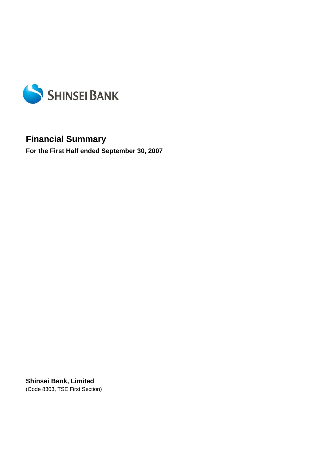

# **Financial Summary**

**For the First Half ended September 30, 2007** 

**Shinsei Bank, Limited**  (Code 8303, TSE First Section)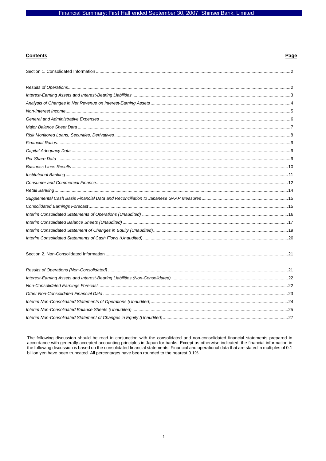## **Contents**

## Page

The following discussion should be read in conjunction with the consolidated and non-consolidated financial statements prepared in accordance with generally accepted accounting principles in Japan for banks. Except as otherwise indicated, the financial information in<br>the following discussion is based on the consolidated financial statements. Financial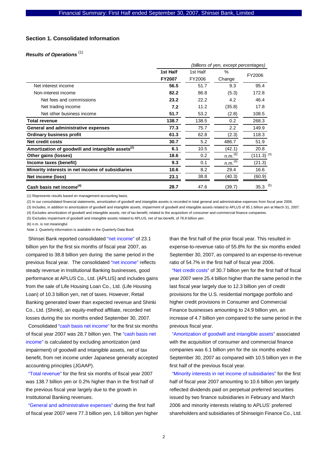#### **Section 1. Consolidated Information**

## *Results of Operations*  (1)

|                                                               | (billions of yen, except percentages) |          |                     |                 |  |
|---------------------------------------------------------------|---------------------------------------|----------|---------------------|-----------------|--|
|                                                               | 1st Half                              | 1st Half | $\%$                | FY2006          |  |
|                                                               | <b>FY2007</b>                         | FY2006   | Change              |                 |  |
| Net interest income                                           | 56.5                                  | 51.7     | 9.3                 | 95.4            |  |
| Non-interest income                                           | 82.2                                  | 86.8     | (5.3)               | 172.8           |  |
| Net fees and commissions                                      | 23.2                                  | 22.2     | 4.2                 | 46.4            |  |
| Net trading income                                            | 7.2                                   | 11.2     | (35.8)              | 17.8            |  |
| Net other business income                                     | 51.7                                  | 53.2     | (2.8)               | 108.5           |  |
| <b>Total revenue</b>                                          | 138.7                                 | 138.5    | 0.2                 | 268.3           |  |
| General and administrative expenses                           | 77.3                                  | 75.7     | 2.2                 | 149.9           |  |
| <b>Ordinary business profit</b>                               | 61.3                                  | 62.8     | (2.3)               | 118.3           |  |
| Net credit costs                                              | 30.7                                  | 5.2      | 486.7               | 51.9            |  |
| Amortization of goodwill and intangible assets <sup>(2)</sup> | 6.1                                   | 10.5     | (42.1)              | 20.8            |  |
| Other gains (losses)                                          | 18.6                                  | 0.2      | n.m. <sup>(6)</sup> | $(111.3)^{(3)}$ |  |
| Income taxes (benefit)                                        | 9.3                                   | 0.1      | n.m.(6)             | (21.3)          |  |
| Minority interests in net income of subsidiaries              | 10.6                                  | 8.2      | 29.4                | 16.6            |  |
| Net income (loss)                                             | 23.1                                  | 38.8     | (40.3)              | (60.9)          |  |
| Cash basis net income <sup>(4)</sup>                          | 28.7                                  | 47.6     | (39.7)              | $35.3$ (5)      |  |

(1) Represents results based on management accounting basis.

(2) In our consolidated financial statements, amortization of goodwill and intangible assets is recorded in total general and administrative expenses from fiscal year 2006.

(3) Includes, in addition to amortization of goodwill and intangible assets, impairment of goodwill and intangible assets related to APLUS of 95.1 billion yen at March 31, 2007. (4) Excludes amortization of goodwill and intangible assets, net of tax benefit, related to the acquisition of consumer and commercial finance companies.

(5) Excludes impairment of goodwill and intangible assets related to APLUS, net of tax benefit, of 78.8 billion yen.

(6) n.m. is not meaningful.

Note 1: Quarterly information is available in the Quarterly Data Book

Shinsei Bank reported consolidated "net income" of 23.1 billion yen for the first six months of fiscal year 2007, as compared to 38.8 billion yen during the same period in the previous fiscal year. The consolidated "net income" reflects steady revenue in Institutional Banking businesses, good performance at APLUS Co., Ltd. (APLUS) and includes gains from the sale of Life Housing Loan Co., Ltd. (Life Housing Loan) of 10.3 billion yen, net of taxes. However, Retail Banking generated lower than expected revenue and Shinki Co., Ltd. (Shinki), an equity-method affiliate, recorded net losses during the six months ended September 30, 2007.

Consolidated "cash basis net income" for the first six months of fiscal year 2007 was 28.7 billion yen. The "cash basis net income" is calculated by excluding amortization (and impairment) of goodwill and intangible assets, net of tax benefit, from net income under Japanese generally accepted accounting principles (JGAAP).

"Total revenue" for the first six months of fiscal year 2007 was 138.7 billion yen or 0.2% higher than in the first half of the previous fiscal year largely due to the growth in Institutional Banking revenues.

"General and administrative expenses" during the first half of fiscal year 2007 were 77.3 billion yen, 1.6 billion yen higher than the first half of the prior fiscal year. This resulted in expense-to-revenue ratio of 55.8% for the six months ended September 30, 2007, as compared to an expense-to-revenue ratio of 54.7% in the first half of fiscal year 2006.

"Net credit costs" of 30.7 billion yen for the first half of fiscal year 2007 were 25.4 billion higher than the same period in the last fiscal year largely due to 12.3 billion yen of credit provisions for the U.S. residential mortgage portfolio and higher credit provisions in Consumer and Commercial Finance businesses amounting to 24.9 billion yen, an increase of 4.7 billion yen compared to the same period in the previous fiscal year.

"Amortization of goodwill and intangible assets" associated with the acquisition of consumer and commercial finance companies was 6.1 billion yen for the six months ended September 30, 2007 as compared with 10.5 billion yen in the first half of the previous fiscal year.

"Minority interests in net income of subsidiaries" for the first half of fiscal year 2007 amounting to 10.6 billion yen largely reflected dividends paid on perpetual preferred securities issued by two finance subsidiaries in February and March 2006 and minority interests relating to APLUS' preferred shareholders and subsidiaries of Shinseigin Finance Co., Ltd.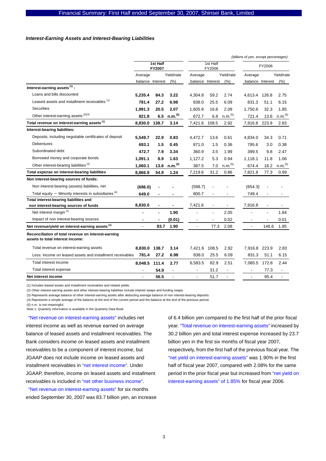#### *Interest-Earning Assets and Interest-Bearing Liabilities*

|                                                                                         |                    |       |                          | (billions of yen, except percentages) |        |                     |                          |       |                          |
|-----------------------------------------------------------------------------------------|--------------------|-------|--------------------------|---------------------------------------|--------|---------------------|--------------------------|-------|--------------------------|
|                                                                                         | 1st Half<br>FY2007 |       | 1st Half<br>FY2006       |                                       | FY2006 |                     |                          |       |                          |
|                                                                                         | Average            |       | Yield/rate               | Average                               |        | Yield/rate          | Average                  |       | Yield/rate               |
|                                                                                         | balance Interest   |       | (% )                     | balance Interest                      |        | (% )                | balance Interest         |       | (% )                     |
| Interest-earning assets $(1)$ :                                                         |                    |       |                          |                                       |        |                     |                          |       |                          |
| Loans and bills discounted                                                              | 5.235.4            | 84.3  | 3.22                     | 4,304.8                               | 59.2   | 2.74                | 4,613.4                  | 126.8 | 2.75                     |
| Leased assets and installment receivables (1)                                           | 781.4              | 27.2  | 6.98                     | 838.0                                 | 25.5   | 6.09                | 831.3                    | 51.1  | 6.15                     |
| <b>Securities</b>                                                                       | 1,991.3            | 20.5  | 2.07                     | 1,605.9                               | 16.8   | 2.09                | 1,750.6                  | 32.3  | 1.85                     |
| Other interest-earning assets (2)(3)                                                    | 821.8              | 6.5   | n.m. <sup>(5)</sup>      | 672.7                                 | 6.8    | n.m. <sup>(5)</sup> | 721.4                    | 13.6  | n.m. <sup>(5)</sup>      |
| Total revenue on interest-earning assets <sup>(1)</sup>                                 | 8,830.0            | 138.7 | 3.14                     | 7,421.6 108.5                         |        | 2.92                | 7,916.8                  | 223.9 | 2.83                     |
| Interest-bearing liabilities:                                                           |                    |       |                          |                                       |        |                     |                          |       |                          |
| Deposits, including negotiable certificates of deposit                                  | 5.549.7            | 22.9  | 0.83                     | 4,472.7                               | 13.6   | 0.61                | 4.834.0                  | 34.3  | 0.71                     |
| <b>Debentures</b>                                                                       | 693.1              | 1.5   | 0.45                     | 871.0                                 | 1.5    | 0.36                | 795.6                    | 3.0   | 0.38                     |
| Subordinated debt                                                                       | 472.7              | 7.9   | 3.34                     | 360.9                                 | 3.5    | 1.99                | 399.5                    | 9.8   | 2.47                     |
| Borrowed money and corporate bonds                                                      | 1,091.1            | 8.9   | 1.63                     | 1,127.2                               | 5.3    | 0.94                | 1,118.1                  | 11.8  | 1.06                     |
| Other interest-bearing liabilities <sup>(2)</sup>                                       | 1,060.1            | 13.6  | n.m. <sup>(5)</sup>      | 387.5                                 | 7.0    | n.m. <sup>(5)</sup> | 674.4                    | 18.2  | n.m. <sup>(5)</sup>      |
| Total expense on interest-bearing liabilities                                           | 8,866.9            | 54.9  | 1.24                     | 7,219.6                               | 31.2   | 0.86                | 7,821.8                  | 77.3  | 0.99                     |
| Non interest-bearing sources of funds:                                                  |                    |       |                          |                                       |        |                     |                          |       |                          |
| Non interest-bearing (assets) liabilities, net                                          | (686.0)            |       |                          | (598.7)                               |        |                     | (654.3)                  |       |                          |
| Total equity $-$ Minority interests in subsidiaries $(4)$                               | 649.0              |       |                          | 800.7                                 |        |                     | 749.4                    |       |                          |
| Total interest-bearing liabilities and                                                  |                    |       |                          |                                       |        |                     |                          |       |                          |
| non interest-bearing sources of funds                                                   | 8,830.0            |       |                          | 7,421.6                               |        |                     | 7,916.8                  |       |                          |
| Net interest margin <sup>(1)</sup>                                                      |                    |       | 1.90                     |                                       |        | 2.05                |                          |       | 1.84                     |
| Impact of non interest-bearing sources                                                  |                    |       | (0.01)                   |                                       |        | 0.02                |                          |       | 0.01                     |
| Net revenue/yield on interest-earning assets <sup>(1)</sup>                             |                    | 83.7  | 1.90                     |                                       | 77.3   | 2.08                |                          | 146.6 | 1.85                     |
| Reconciliation of total revenue on interest-earning<br>assets to total interest income: |                    |       |                          |                                       |        |                     |                          |       |                          |
| Total revenue on interest-earning assets                                                | 8.830.0            | 138.7 | 3.14                     | 7,421.6                               | 108.5  | 2.92                | 7,916.8                  | 223.9 | 2.83                     |
| Less: Income on leased assets and installment receivables                               | 781.4              | 27.2  | 6.98                     | 838.0                                 | 25.5   | 6.09                | 831.3                    | 51.1  | 6.15                     |
| Total interest income                                                                   | 8,048.5            | 111.4 | 2.77                     | 6,583.5                               | 82.9   | 2.51                | 7,085.5                  | 172.8 | 2.44                     |
| Total interest expense                                                                  |                    | 54.9  | $\overline{\phantom{a}}$ | $\overline{\phantom{a}}$              | 31.2   |                     | $\overline{\phantom{a}}$ | 77.3  | $\overline{\phantom{a}}$ |
| Net interest income                                                                     |                    | 56.5  | $\overline{\phantom{a}}$ | $\overline{a}$                        | 51.7   | ä,                  |                          | 95.4  | ä,                       |

(1) Includes leased assets and installment receivables and related yields.

(2) Other interest-earning assets and other interest-bearing liabilities include interest swaps and funding swaps.

(3) Represents average balance of other interest-earning assets after deducting average balance of non interest-bearing deposits.

(4) Represents a simple average of the balance at the end of the current period and the balance at the end of the previous period.

(5) n.m. is not meaningful.

Note 1: Quarterly information is available in the Quarterly Data Book

"Net revenue on interest-earning assets" includes net interest income as well as revenue earned on average balance of leased assets and installment receivables. The Bank considers income on leased assets and installment receivables to be a component of interest income, but JGAAP does not include income on leased assets and installment receivables in "net interest income". Under JGAAP, therefore, income on leased assets and installment receivables is included in "net other business income".

"Net revenue on interest-earning assets" for six months ended September 30, 2007 was 83.7 billion yen, an increase of 6.4 billion yen compared to the first half of the prior fiscal year. "Total revenue on interest-earning assets" increased by 30.2 billion yen and total interest expense increased by 23.7 billion yen in the first six months of fiscal year 2007, respectively, from the first half of the previous fiscal year. The "net yield on interest-earning assets" was 1.90% in the first half of fiscal year 2007, compared with 2.08% for the same period in the prior fiscal year but increased from "net yield on interest-earning assets" of 1.85% for fiscal year 2006.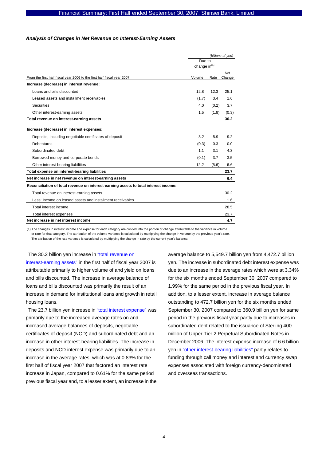#### *Analysis of Changes in Net Revenue on Interest-Earning Assets*

|                                                                                      | (billions of yen)        |       |               |
|--------------------------------------------------------------------------------------|--------------------------|-------|---------------|
|                                                                                      | Due to                   |       |               |
|                                                                                      | change in <sup>(1)</sup> |       |               |
| From the first half fiscal year 2006 to the first half fiscal year 2007              | Volume                   | Rate  | Net<br>Change |
| Increase (decrease) in interest revenue:                                             |                          |       |               |
| Loans and bills discounted                                                           | 12.8                     | 12.3  | 25.1          |
| Leased assets and installment receivables                                            | (1.7)                    | 3.4   | 1.6           |
| <b>Securities</b>                                                                    | 4.0                      | (0.2) | 3.7           |
| Other interest-earning assets                                                        | 1.5                      | (1.8) | (0.3)         |
| Total revenue on interest-earning assets                                             |                          |       | 30.2          |
| Increase (decrease) in interest expenses:                                            |                          |       |               |
| Deposits, including negotiable certificates of deposit                               | 3.2                      | 5.9   | 9.2           |
| <b>Debentures</b>                                                                    | (0.3)                    | 0.3   | 0.0           |
| Subordinated debt                                                                    | 1.1                      | 3.1   | 4.3           |
| Borrowed money and corporate bonds                                                   | (0.1)                    | 3.7   | 3.5           |
| Other interest-bearing liabilities                                                   | 12.2                     | (5.6) | 6.6           |
| Total expense on interest-bearing liabilities                                        |                          |       | 23.7          |
| Net increase in net revenue on interest-earning assets                               |                          |       | 6.4           |
| Reconciliation of total revenue on interest-earning assets to total interest income: |                          |       |               |
| Total revenue on interest-earning assets                                             |                          |       | 30.2          |
| Less: Income on leased assets and installment receivables                            |                          |       | 1.6           |
| Total interest income                                                                |                          |       | 28.5          |
| Total interest expenses                                                              |                          |       | 23.7          |
| Net increase in net interest income                                                  |                          |       | 4.7           |

(1) The changes in interest income and expense for each category are divided into the portion of change attributable to the variance in volume or rate for that category. The attribution of the volume variance is calculated by multiplying the change in volume by the previous year's rate. The attribution of the rate variance is calculated by multiplying the change in rate by the current year's balance.

The 30.2 billion yen increase in "total revenue on interest-earning assets" in the first half of fiscal year 2007 is attributable primarily to higher volume of and yield on loans and bills discounted. The increase in average balance of loans and bills discounted was primarily the result of an increase in demand for institutional loans and growth in retail housing loans.

The 23.7 billion yen increase in "total interest expense" was primarily due to the increased average rates on and increased average balances of deposits, negotiable certificates of deposit (NCD) and subordinated debt and an increase in other interest-bearing liabilities. The increase in deposits and NCD interest expense was primarily due to an increase in the average rates, which was at 0.83% for the first half of fiscal year 2007 that factored an interest rate increase in Japan, compared to 0.61% for the same period previous fiscal year and, to a lesser extent, an increase in the

average balance to 5,549.7 billion yen from 4,472.7 billion yen. The increase in subordinated debt interest expense was due to an increase in the average rates which were at 3.34% for the six months ended September 30, 2007 compared to 1.99% for the same period in the previous fiscal year. In addition, to a lesser extent, increase in average balance outstanding to 472.7 billion yen for the six months ended September 30, 2007 compared to 360.9 billion yen for same period in the previous fiscal year partly due to increases in subordinated debt related to the issuance of Sterling 400 million of Upper Tier 2 Perpetual Subordinated Notes in December 2006. The interest expense increase of 6.6 billion yen in "other interest-bearing liabilities" partly relates to funding through call money and interest and currency swap expenses associated with foreign currency-denominated and overseas transactions.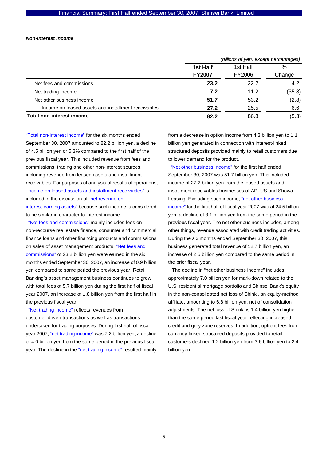#### *Non-Interest Income*

|                                                     | (billions of yen, except percentages) |        |        |  |
|-----------------------------------------------------|---------------------------------------|--------|--------|--|
|                                                     | 1st Half<br>%<br>1st Half             |        |        |  |
|                                                     | <b>FY2007</b>                         | FY2006 | Change |  |
| Net fees and commissions                            | 23.2                                  | 22.2   | 4.2    |  |
| Net trading income                                  | 7.2                                   | 11.2   | (35.8) |  |
| Net other business income                           | 51.7                                  | 53.2   | (2.8)  |  |
| Income on leased assets and installment receivables | 27.2                                  | 25.5   | 6.6    |  |
| <b>Total non-interest income</b>                    | 82.2                                  | 86.8   | (5.3)  |  |

"Total non-interest income" for the six months ended September 30, 2007 amounted to 82.2 billion yen, a decline of 4.5 billion yen or 5.3% compared to the first half of the previous fiscal year. This included revenue from fees and commissions, trading and other non-interest sources, including revenue from leased assets and installment receivables. For purposes of analysis of results of operations, "income on leased assets and installment receivables" is included in the discussion of "net revenue on interest-earning assets" because such income is considered to be similar in character to interest income.

"Net fees and commissions" mainly includes fees on non-recourse real estate finance, consumer and commercial finance loans and other financing products and commissions on sales of asset management products. "Net fees and commissions" of 23.2 billion yen were earned in the six months ended September 30, 2007, an increase of 0.9 billion yen compared to same period the previous year. Retail Banking's asset management business continues to grow with total fees of 5.7 billion yen during the first half of fiscal year 2007, an increase of 1.8 billion yen from the first half in the previous fiscal year.

"Net trading income" reflects revenues from customer-driven transactions as well as transactions undertaken for trading purposes. During first half of fiscal year 2007, "net trading income" was 7.2 billion yen, a decline of 4.0 billion yen from the same period in the previous fiscal year. The decline in the "net trading income" resulted mainly from a decrease in option income from 4.3 billion yen to 1.1 billion yen generated in connection with interest-linked structured deposits provided mainly to retail customers due to lower demand for the product.

"Net other business income" for the first half ended September 30, 2007 was 51.7 billion yen. This included income of 27.2 billion yen from the leased assets and installment receivables businesses of APLUS and Showa Leasing. Excluding such income, "net other business income" for the first half of fiscal year 2007 was at 24.5 billion yen, a decline of 3.1 billion yen from the same period in the previous fiscal year. The net other business includes, among other things, revenue associated with credit trading activities. During the six months ended September 30, 2007, this business generated total revenue of 12.7 billion yen, an increase of 2.5 billion yen compared to the same period in the prior fiscal year.

 The decline in "net other business income" includes approximately 7.0 billion yen for mark-down related to the U.S. residential mortgage portfolio and Shinsei Bank's equity in the non-consolidated net loss of Shinki, an equity-method affiliate, amounting to 6.8 billion yen, net of consolidation adjustments. The net loss of Shinki is 1.4 billion yen higher than the same period last fiscal year reflecting increased credit and grey zone reserves. In addition, upfront fees from currency-linked structured deposits provided to retail customers declined 1.2 billion yen from 3.6 billion yen to 2.4 billion yen.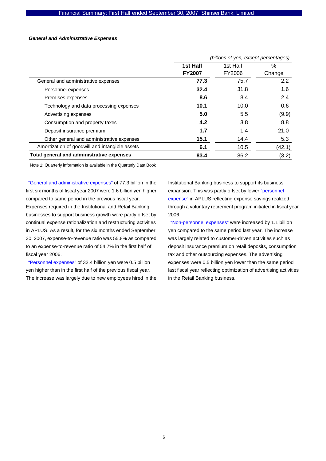#### *General and Administrative Expenses*

|                                                | (billions of yen, except percentages) |        |        |  |
|------------------------------------------------|---------------------------------------|--------|--------|--|
|                                                | 1st Half                              | %      |        |  |
|                                                | <b>FY2007</b>                         | FY2006 | Change |  |
| General and administrative expenses            | 77.3                                  | 75.7   | 2.2    |  |
| Personnel expenses                             | 32.4                                  | 31.8   | 1.6    |  |
| Premises expenses                              | 8.6                                   | 8.4    | 2.4    |  |
| Technology and data processing expenses        | 10.1                                  | 10.0   | 0.6    |  |
| Advertising expenses                           | 5.0                                   | 5.5    | (9.9)  |  |
| Consumption and property taxes                 | 4.2                                   | 3.8    | 8.8    |  |
| Deposit insurance premium                      | 1.7                                   | 1.4    | 21.0   |  |
| Other general and administrative expenses      | 15.1                                  | 14.4   | 5.3    |  |
| Amortization of goodwill and intangible assets | 6.1                                   | 10.5   | (42.1) |  |
| Total general and administrative expenses      | 83.4                                  | 86.2   | (3.2)  |  |

Note 1: Quarterly information is available in the Quarterly Data Book

"General and administrative expenses" of 77.3 billion in the first six months of fiscal year 2007 were 1.6 billion yen higher compared to same period in the previous fiscal year. Expenses required in the Institutional and Retail Banking businesses to support business growth were partly offset by continual expense rationalization and restructuring activities in APLUS. As a result, for the six months ended September 30, 2007, expense-to-revenue ratio was 55.8% as compared to an expense-to-revenue ratio of 54.7% in the first half of fiscal year 2006.

"Personnel expenses" of 32.4 billion yen were 0.5 billion yen higher than in the first half of the previous fiscal year. The increase was largely due to new employees hired in the Institutional Banking business to support its business expansion. This was partly offset by lower "personnel expense" in APLUS reflecting expense savings realized through a voluntary retirement program initiated in fiscal year 2006.

"Non-personnel expenses" were increased by 1.1 billion yen compared to the same period last year. The increase was largely related to customer-driven activities such as deposit insurance premium on retail deposits, consumption tax and other outsourcing expenses. The advertising expenses were 0.5 billion yen lower than the same period last fiscal year reflecting optimization of advertising activities in the Retail Banking business.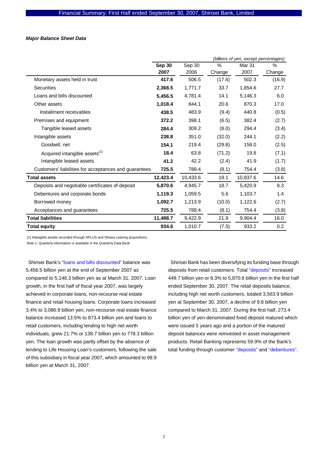#### *Major Balance Sheet Data*

|                                                       |          |          |        | (billions of yen, except percentages) |        |
|-------------------------------------------------------|----------|----------|--------|---------------------------------------|--------|
|                                                       | Sep 30   | Sep 30   | $\%$   | Mar <sub>31</sub>                     | %      |
|                                                       | 2007     | 2006     | Change | 2007                                  | Change |
| Monetary assets held in trust                         | 417.6    | 506.5    | (17.6) | 502.3                                 | (16.9) |
| <b>Securities</b>                                     | 2,368.5  | 1,771.7  | 33.7   | 1,854.6                               | 27.7   |
| Loans and bills discounted                            | 5,456.5  | 4,781.4  | 14.1   | 5,146.3                               | 6.0    |
| Other assets                                          | 1,018.4  | 844.1    | 20.6   | 870.3                                 | 17.0   |
| Installment receivables                               | 438.5    | 483.9    | (9.4)  | 440.8                                 | (0.5)  |
| Premises and equipment                                | 372.2    | 398.1    | (6.5)  | 382.4                                 | (2.7)  |
| Tangible leased assets                                | 284.4    | 309.2    | (8.0)  | 294.4                                 | (3.4)  |
| Intangible assets                                     | 238.8    | 351.0    | (32.0) | 244.1                                 | (2.2)  |
| Goodwill, net                                         | 154.1    | 219.4    | (29.8) | 158.0                                 | (2.5)  |
| Acquired intangible assets <sup>(1)</sup>             | 18.4     | 63.8     | (71.2) | 19.8                                  | (7.1)  |
| Intangible leased assets                              | 41.2     | 42.2     | (2.4)  | 41.9                                  | (1.7)  |
| Customers' liabilities for acceptances and guarantees | 725.5    | 789.4    | (8.1)  | 754.4                                 | (3.8)  |
| <b>Total assets</b>                                   | 12,423.4 | 10,433.6 | 19.1   | 10,837.6                              | 14.6   |
| Deposits and negotiable certificates of deposit       | 5,870.6  | 4,945.7  | 18.7   | 5,420.9                               | 8.3    |
| Debentures and corporate bonds                        | 1,119.3  | 1,059.5  | 5.6    | 1,103.7                               | 1.4    |
| Borrowed money                                        | 1,092.7  | 1,213.9  | (10.0) | 1,122.6                               | (2.7)  |
| Acceptances and guarantees                            | 725.5    | 789.4    | (8.1)  | 754.4                                 | (3.8)  |
| <b>Total liabilities</b>                              | 11,488.7 | 9,422.9  | 21.9   | 9,904.4                               | 16.0   |
| Total equity                                          | 934.6    | 1,010.7  | (7.5)  | 933.2                                 | 0.2    |

(1) Intangible assets recorded through APLUS and Showa Leasing acquisitions.

Note 1: Quarterly information is available in the Quarterly Data Book

Shinsei Bank's "loans and bills discounted" balance was 5,456.5 billion yen at the end of September 2007 as compared to 5,146.3 billion yen as at March 31, 2007. Loan growth, in the first half of fiscal year 2007, was largely achieved in corporate loans, non-recourse real estate finance and retail housing loans. Corporate loans increased 3.4% to 3,086.9 billion yen, non-recourse real estate finance balance increased 13.5% to 873.4 billion yen and loans to retail customers, including lending to high net worth individuals, grew 21.7% or 138.7 billion yen to 778.3 billion yen. The loan growth was partly offset by the absence of lending to Life Housing Loan's customers, following the sale of this subsidiary in fiscal year 2007, which amounted to 99.9 billion yen at March 31, 2007.

Shinsei Bank has been diversifying its funding base through deposits from retail customers. Total "deposits" increased 449.7 billion yen or 8.3% to 5,870.6 billion yen in the first half ended September 30, 2007. The retail deposits balance, including high net worth customers, totaled 3,563.9 billion yen at September 30, 2007, a decline of 9.8 billion yen compared to March 31, 2007. During the first half, 273.4 billion yen of yen-denominated fixed deposit matured which were issued 5 years ago and a portion of the matured deposit balances were reinvested in asset management products. Retail Banking represents 59.9% of the Bank's total funding through customer "deposits" and "debentures".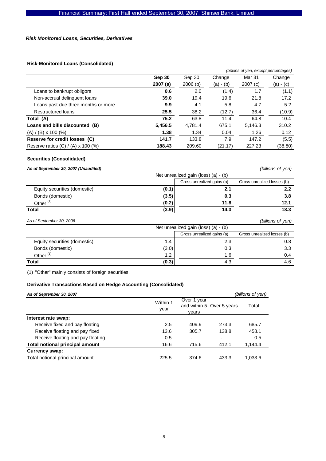#### *Risk Monitored Loans, Securities, Derivatives*

## **Risk-Monitored Loans (Consolidated)**

|                                           | (billions of yen, except percentages) |         |           |         |             |
|-------------------------------------------|---------------------------------------|---------|-----------|---------|-------------|
|                                           | Sep 30                                | Sep 30  | Change    | Mar 31  | Change      |
|                                           | 2007(a)                               | 2006(b) | (a) - (b) | 2007(c) | $(a) - (c)$ |
| Loans to bankrupt obligors                | 0.6                                   | 2.0     | (1.4)     | 1.7     | (1.1)       |
| Non-accrual delinguent loans              | 39.0                                  | 19.4    | 19.6      | 21.8    | 17.2        |
| Loans past due three months or more       | 9.9                                   | 4.1     | 5.8       | 4.7     | 5.2         |
| <b>Restructured loans</b>                 | 25.5                                  | 38.2    | (12.7)    | 36.4    | (10.9)      |
| Total (A)                                 | 75.2                                  | 63.8    | 11.4      | 64.8    | 10.4        |
| Loans and bills discounted (B)            | 5,456.5                               | 4,781.4 | 675.1     | 5,146.3 | 310.2       |
| $(A) / (B) \times 100$ (%)                | 1.38                                  | 1.34    | 0.04      | 1.26    | 0.12        |
| Reserve for credit losses (C)             | 141.7                                 | 133.8   | 7.9       | 147.2   | (5.5)       |
| Reserve ratios $(C) / (A) \times 100$ (%) | 188.43                                | 209.60  | (21.17)   | 227.23  | (38.80)     |

## **Securities (Consolidated)**

| As of September 30, 2007 (Unaudited) |       |                                      | (billions of yen)           |
|--------------------------------------|-------|--------------------------------------|-----------------------------|
|                                      |       | Net unrealized gain (loss) (a) - (b) |                             |
|                                      |       | Gross unrealized gains (a)           | Gross unrealized losses (b) |
| Equity securities (domestic)         | (0.1) | 2.1                                  | 2.2                         |
| Bonds (domestic)                     | (3.5) | 0.3                                  | 3.8                         |
| Other <sup>(1)</sup>                 | (0.2) | 11.8                                 | 12.1                        |
| <b>Total</b>                         | (3.9) | 14.3                                 | 18.3                        |
| As of September 30, 2006             |       |                                      | (billions of yen)           |
|                                      |       | Net unrealized gain (loss) (a) - (b) |                             |
|                                      |       | Gross unrealized gains (a)           | Gross unrealized losses (b) |
| Equity securities (domestic)         | 1.4   | 2.3                                  | 0.8                         |
| Bonds (domestic)                     | (3.0) | 0.3                                  | 3.3                         |
| Other $(1)$                          | 1.2   | 1.6                                  | 0.4                         |
| Total                                | (0.3) | 4.3                                  | 4.6                         |

(1) "Other" mainly consists of foreign securities.

## **Derivative Transactions Based on Hedge Accounting (Consolidated)**

| As of September 30, 2007               |                  |                          |                           | (billions of yen) |
|----------------------------------------|------------------|--------------------------|---------------------------|-------------------|
|                                        | Within 1<br>year | Over 1 year<br>vears     | and within 5 Over 5 years | Total             |
| Interest rate swap:                    |                  |                          |                           |                   |
| Receive fixed and pay floating         | 2.5              | 409.9                    | 273.3                     | 685.7             |
| Receive floating and pay fixed         | 13.6             | 305.7                    | 138.8                     | 458.1             |
| Receive floating and pay floating      | 0.5              | $\overline{\phantom{0}}$ |                           | 0.5               |
| <b>Total notional principal amount</b> | 16.6             | 715.6                    | 412.1                     | 1.144.4           |
| Currency swap:                         |                  |                          |                           |                   |
| Total notional principal amount        | 225.5            | 374.6                    | 433.3                     | 1,033.6           |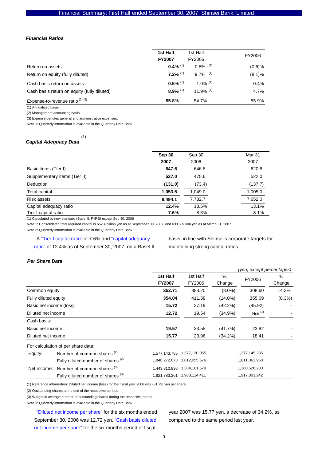#### *Financial Ratios*

|                                             | 1st Half               | 1st Half               | FY2006 |
|---------------------------------------------|------------------------|------------------------|--------|
|                                             | <b>FY2007</b>          | FY2006                 |        |
| Return on assets                            | $0.4\%$ <sup>(1)</sup> | $0.8\%$ <sup>(1)</sup> | (0.6)% |
| Return on equity (fully diluted)            | $7.2\%$ <sup>(1)</sup> | $9.7\%$ <sup>(1)</sup> | (8.1)% |
| Cash basis return on assets                 | $0.5\%$ <sup>(1)</sup> | 1.0% $(1)$             | 0.4%   |
| Cash basis return on equity (fully diluted) | $8.9\%$ <sup>(1)</sup> | 11.9% $(1)$            | 4.7%   |
| Expense-to-revenue ratio <sup>(2)(3)</sup>  | 55.8%                  | 54.7%                  | 55.9%  |

(1) Annualized basis.

(2) Management accounting basis.

(3) Expense denotes general and administrative expenses.

Note 1: Quarterly information is available in the Quarterly Data Book

#### (1)

# *Capital Adequacy Data*

|                               | Sep 30  | Sep 30  | Mar 31  |
|-------------------------------|---------|---------|---------|
|                               | 2007    | 2006    | 2007    |
| Basic items (Tier I)          | 647.6   | 646.8   | 620.8   |
| Supplementary items (Tier II) | 537.0   | 475.6   | 522.0   |
| Deduction                     | (131.0) | (73.4)  | (137.7) |
| Total capital                 | 1,053.5 | 1,049.0 | 1,005.0 |
| Risk assets                   | 8,494.1 | 7.782.7 | 7,652.0 |
| Capital adequacy ratio        | 12.4%   | 13.5%   | 13.1%   |
| Tier I capital ratio          | 7.6%    | 8.3%    | 8.1%    |

(1) Calculated by new standard (BaseI II, F-IRB) except Sep 30, 2006

Note 1: Consolidated total required capital is 652.4 billion yen as at September 30, 2007, and 633.5 billion yen as at March 31, 2007.

Note 2: Quarterly information is available in the Quarterly Data Book

A "Tier I capital ratio" of 7.6% and "capital adequacy ratio" of 12.4% as of September 30, 2007, on a Basel II basis, in line with Shinsei's corporate targets for maintaining strong capital ratios.

#### *Per Share Data*

|                         |                                               |                              |               |            | (yen, except percentages) |           |
|-------------------------|-----------------------------------------------|------------------------------|---------------|------------|---------------------------|-----------|
|                         |                                               | 1st Half                     | 1st Half      | $\%$       | FY2006                    | %         |
|                         |                                               | <b>FY2007</b>                | FY2006        | Change     |                           | Change    |
| Common equity           |                                               | 352.71                       | 383.20        | $(8.0\%)$  | 308.60                    | 14.3%     |
| Fully diluted equity    |                                               | 354.04                       | 411.58        | $(14.0\%)$ | 355.09                    | $(0.3\%)$ |
| Basic net income (loss) |                                               | 15.72                        | 27.19         | (42.2%)    | (45.92)                   |           |
| Diluted net income      |                                               | 12.72                        | 19.54         | $(34.9\%)$ | Note <sup>(1)</sup>       |           |
| Cash basis:             |                                               |                              |               |            |                           |           |
| Basic net income        |                                               | 19.57                        | 33.55         | (41.7%)    | 23.82                     |           |
| Diluted net income      |                                               | 15.77                        | 23.96         | $(34.2\%)$ | 18.41                     |           |
|                         | For calculation of per share data:            |                              |               |            |                           |           |
| Equity:                 | Number of common shares <sup>(2)</sup>        | 1,577,143,785 1,377,120,055  |               |            | 1,377,145,285             |           |
|                         | Fully diluted number of shares <sup>(2)</sup> | 1,846,272,673                | 1,812,055,676 |            | 1,811,061,968             |           |
| Net income:             | Number of common shares <sup>(3)</sup>        | 1,443,810,836  1,384,101,579 |               |            | 1,380,628,230             |           |
|                         | Fully diluted number of shares <sup>(3)</sup> | 1,821,783,261 1,988,114,411  |               |            | 1,917,803,242             |           |

(1) Reference information: Diluted net income (loss) for the fiscal year 2006 was (31.79) yen per share.

(2) Outstanding shares at the end of the respective periods.

(3) Weighted average number of outstanding shares during the respective period.

Note 1: Quarterly information is available in the Quarterly Data Book

"Diluted net income per share" for the six months ended September 30, 2006 was 12.72 yen. "Cash basis diluted net income per share" for the six months period of fiscal

year 2007 was 15.77 yen, a decrease of 34.2%, as compared to the same period last year.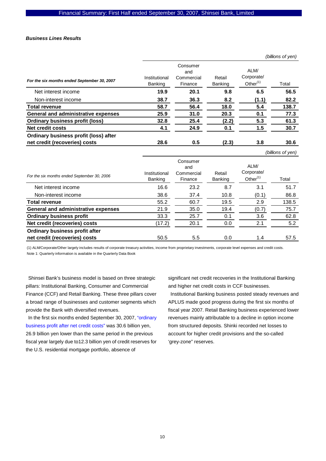#### *Business Lines Results*

|                                             |                          |                                          |                          |                                   | (billions of yen) |
|---------------------------------------------|--------------------------|------------------------------------------|--------------------------|-----------------------------------|-------------------|
| For the six months ended September 30, 2007 | Institutional<br>Banking | Consumer<br>and<br>Commercial<br>Finance | Retail<br><b>Banking</b> | ALM/<br>Corporate/<br>Other $(1)$ | Total             |
| Net interest income                         | 19.9                     | 20.1                                     | 9.8                      | 6.5                               | 56.5              |
| Non-interest income                         | 38.7                     | 36.3                                     | 8.2                      | (1.1)                             | 82.2              |
| <b>Total revenue</b>                        | 58.7                     | 56.4                                     | 18.0                     | 5.4                               | 138.7             |
| <b>General and administrative expenses</b>  | 25.9                     | 31.0                                     | 20.3                     | 0.1                               | 77.3              |
| <b>Ordinary business profit (loss)</b>      | 32.8                     | 25.4                                     | (2.2)                    | 5.3                               | 61.3              |
| Net credit costs                            | 4.1                      | 24.9                                     | 0.1                      | 1.5                               | 30.7              |
| Ordinary business profit (loss) after       |                          |                                          |                          |                                   |                   |
| net credit (recoveries) costs               | 28.6                     | 0.5                                      | (2.3)                    | 3.8                               | 30.6              |
|                                             |                          |                                          |                          |                                   | (billions of ven) |

|                          |                                          |                   |                                   | $\sim$ $\sim$ |
|--------------------------|------------------------------------------|-------------------|-----------------------------------|---------------|
| Institutional<br>Banking | Consumer<br>and<br>Commercial<br>Finance | Retail<br>Banking | ALM/<br>Corporate/<br>Other $(1)$ | Total         |
| 16.6                     | 23.2                                     | 8.7               | 3.1                               | 51.7          |
| 38.6                     | 37.4                                     | 10.8              | (0.1)                             | 86.8          |
| 55.2                     | 60.7                                     | 19.5              | 2.9                               | 138.5         |
| 21.9                     | 35.0                                     | 19.4              | (0.7)                             | 75.7          |
| 33.3                     | 25.7                                     | 0.1               | 3.6                               | 62.8          |
| (17.2)                   | 20.1                                     | 0.0               | 2.1                               | 5.2           |
| 50.5                     | 5.5                                      | 0.0               | 1.4                               | 57.5          |
|                          |                                          |                   |                                   |               |

(1) ALM/Corporate/Other largely includes results of corporate treasury activities, income from proprietary investments, corporate level expenses and credit costs. Note 1: Quarterly information is available in the Quarterly Data Book

Shinsei Bank's business model is based on three strategic pillars: Institutional Banking, Consumer and Commercial Finance (CCF) and Retail Banking. These three pillars cover a broad range of businesses and customer segments which provide the Bank with diversified revenues.

In the first six months ended September 30, 2007, "ordinary business profit after net credit costs" was 30.6 billion yen, 26.9 billion yen lower than the same period in the previous fiscal year largely due to12.3 billion yen of credit reserves for the U.S. residential mortgage portfolio, absence of

significant net credit recoveries in the Institutional Banking and higher net credit costs in CCF businesses.

Institutional Banking business posted steady revenues and APLUS made good progress during the first six months of fiscal year 2007. Retail Banking business experienced lower revenues mainly attributable to a decline in option income from structured deposits. Shinki recorded net losses to account for higher credit provisions and the so-called 'grey-zone" reserves.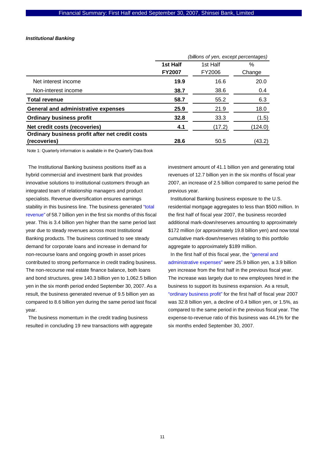#### *Institutional Banking*

|                                                 | (billions of yen, except percentages) |          |         |  |
|-------------------------------------------------|---------------------------------------|----------|---------|--|
|                                                 | 1st Half                              | 1st Half | $\%$    |  |
|                                                 | <b>FY2007</b>                         | FY2006   | Change  |  |
| Net interest income                             | 19.9                                  | 16.6     | 20.0    |  |
| Non-interest income                             | 38.7                                  | 38.6     | 0.4     |  |
| <b>Total revenue</b>                            | 58.7                                  | 55.2     | 6.3     |  |
| <b>General and administrative expenses</b>      | 25.9                                  | 21.9     | 18.0    |  |
| <b>Ordinary business profit</b>                 | 32.8                                  | 33.3     | (1.5)   |  |
| Net credit costs (recoveries)                   | 4.1                                   | (17.2)   | (124.0) |  |
| Ordinary business profit after net credit costs |                                       |          |         |  |
| (recoveries)                                    | 28.6                                  | 50.5     | (43.2)  |  |

Note 1: Quarterly information is available in the Quarterly Data Book

The Institutional Banking business positions itself as a hybrid commercial and investment bank that provides innovative solutions to institutional customers through an integrated team of relationship managers and product specialists. Revenue diversification ensures earnings stability in this business line. The business generated "total revenue" of 58.7 billion yen in the first six months of this fiscal year. This is 3.4 billion yen higher than the same period last year due to steady revenues across most Institutional Banking products. The business continued to see steady demand for corporate loans and increase in demand for non-recourse loans and ongoing growth in asset prices contributed to strong performance in credit trading business. The non-recourse real estate finance balance, both loans and bond structures, grew 140.3 billion yen to 1,062.5 billion yen in the six month period ended September 30, 2007. As a result, the business generated revenue of 9.5 billion yen as compared to 8.6 billion yen during the same period last fiscal year.

The business momentum in the credit trading business resulted in concluding 19 new transactions with aggregate investment amount of 41.1 billion yen and generating total revenues of 12.7 billion yen in the six months of fiscal year 2007, an increase of 2.5 billion compared to same period the previous year.

Institutional Banking business exposure to the U.S. residential mortgage aggregates to less than \$500 million. In the first half of fiscal year 2007, the business recorded additional mark-down/reserves amounting to approximately \$172 million (or approximately 19.8 billion yen) and now total cumulative mark-down/reserves relating to this portfolio aggregate to approximately \$189 million.

In the first half of this fiscal year, the "general and administrative expenses" were 25.9 billion yen, a 3.9 billion yen increase from the first half in the previous fiscal year. The increase was largely due to new employees hired in the business to support its business expansion. As a result, "ordinary business profit" for the first half of fiscal year 2007 was 32.8 billion yen, a decline of 0.4 billion yen, or 1.5%, as compared to the same period in the previous fiscal year. The expense-to-revenue ratio of this business was 44.1% for the six months ended September 30, 2007.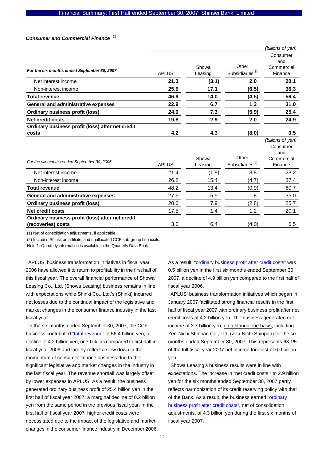## *Consumer and Commercial Finance*  (1)

|                                                  |              |                  |                                      | (billions of yen)                        |
|--------------------------------------------------|--------------|------------------|--------------------------------------|------------------------------------------|
| For the six months ended September 30, 2007      | <b>APLUS</b> | Showa<br>Leasing | Other<br>Subsidiaries <sup>(2)</sup> | Consumer<br>and<br>Commercial<br>Finance |
| Net interest income                              | 21.3         | (3.1)            | 2.0                                  | 20.1                                     |
| Non-interest income                              | 25.6         | 17.1             | (6.5)                                | 36.3                                     |
| <b>Total revenue</b>                             | 46.9         | 14.0             | (4.5)                                | 56.4                                     |
| <b>General and administrative expenses</b>       | 22.9         | 6.7              | 1.3                                  | 31.0                                     |
| <b>Ordinary business profit (loss)</b>           | 24.0         | 7.3              | (5.9)                                | 25.4                                     |
| <b>Net credit costs</b>                          | 19.8         | 2.9              | 2.0                                  | 24.9                                     |
| Ordinary business profit (loss) after net credit |              |                  |                                      |                                          |
| costs                                            | 4.2          | 4.3              | (8.0)                                | 0.5                                      |

|                                                                        |              |                  |                                      | $\sim$ $\sim$ $\sim$ $\sim$ $\sim$ $\sim$ $\sim$ |
|------------------------------------------------------------------------|--------------|------------------|--------------------------------------|--------------------------------------------------|
| For the six months ended September 30, 2006                            | <b>APLUS</b> | Showa<br>Leasing | Other<br>Subsidiaries <sup>(2)</sup> | Consumer<br>and<br>Commercial<br>Finance         |
| Net interest income                                                    | 21.4         | (1.9)            | 3.8                                  | 23.2                                             |
| Non-interest income                                                    | 26.8         | 15.4             | (4.7)                                | 37.4                                             |
| <b>Total revenue</b>                                                   | 48.2         | 13.4             | (0.9)                                | 60.7                                             |
| General and administrative expenses                                    | 27.6         | 5.5              | 1.8                                  | 35.0                                             |
| <b>Ordinary business profit (loss)</b>                                 | 20.6         | 7.9              | (2.8)                                | 25.7                                             |
| <b>Net credit costs</b>                                                | 17.5         | 1.4              | 1.2                                  | 20.1                                             |
| Ordinary business profit (loss) after net credit<br>(recoveries) costs | 3.0          | 6.4              | (4.0)                                | $5.5^{\circ}$                                    |

(1) Net of consolidation adjustments, if applicable.

(2) Includes Shinki, an affiliate, and unallocated CCF sub-group financials. Note 1: Quarterly information is available in the Quarterly Data Book

APLUS' business transformation initiatives in fiscal year 2006 have allowed it to return to profitability in the first half of this fiscal year. The overall financial performance of Showa Leasing Co., Ltd. (Showa Leasing) business remains in line with expectations while Shinki Co., Ltd.'s (Shinki) incurred net losses due to the continual impact of the legislative and market changes in the consumer finance industry in the last fiscal year.

In the six months ended September 30, 2007, the CCF business contributed "total revenue" of 56.4 billion yen, a decline of 4.2 billion yen, or 7.0%, as compared to first half in fiscal year 2006 and largely reflect a slow down in the momentum of consumer finance business due to the significant legislative and market changes in the industry in the last fiscal year. The revenue shortfall was largely offset by lower expenses in APLUS. As a result, the business generated ordinary business profit of 25.4 billion yen in the first half of fiscal year 2007, a marginal decline of 0.2 billion yen from the same period in the previous fiscal year. In the first half of fiscal year 2007, higher credit costs were necessitated due to the impact of the legislative and market changes in the consumer finance industry in December 2006. As a result, "ordinary business profit after credit costs" was 0.5 billion yen in the first six months ended September 30, 2007, a decline of 4.9 billion yen compared to the first half of fiscal year 2006.

*(billions of yen)*

APLUS' business transformation initiatives which began in January 2007 facilitated strong financial results in the first half of fiscal year 2007 with ordinary business profit after net credit costs of 4.2 billion yen. The business generated net income of 3.7 billion yen, on a standalone basis, including Zen-Nichi Shinpan Co., Ltd. (Zen-Nichi Shinpan) for the six months ended September 30, 2007. This represents 63.1% of the full fiscal year 2007 net income forecast of 6.0 billion yen.

Showa Leasing's business results were in line with expectations. The increase in "net credit costs " to 2.9 billion yen for the six months ended September 30, 2007 partly reflects harmonization of its credit reserving policy with that of the Bank. As a result, the business earned "ordinary business profit after credit costs", net of consolidation adjustments, of 4.3 billion yen during the first six months of fiscal year 2007.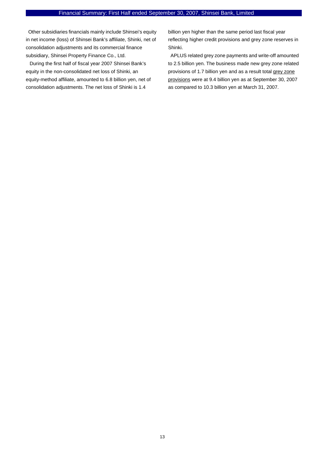Other subsidiaries financials mainly include Shinsei's equity in net income (loss) of Shinsei Bank's affiliate, Shinki, net of consolidation adjustments and its commercial finance subsidiary, Shinsei Property Finance Co., Ltd.

 During the first half of fiscal year 2007 Shinsei Bank's equity in the non-consolidated net loss of Shinki, an equity-method affiliate, amounted to 6.8 billion yen, net of consolidation adjustments. The net loss of Shinki is 1.4

billion yen higher than the same period last fiscal year reflecting higher credit provisions and grey zone reserves in Shinki.

APLUS related grey zone payments and write-off amounted to 2.5 billion yen. The business made new grey zone related provisions of 1.7 billion yen and as a result total grey zone provisions were at 9.4 billion yen as at September 30, 2007 as compared to 10.3 billion yen at March 31, 2007.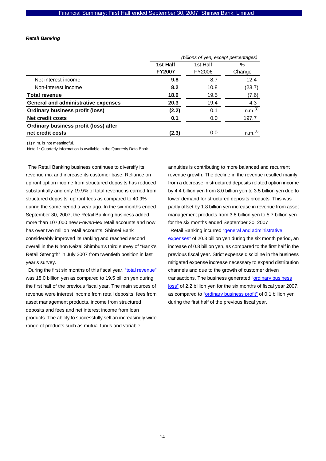#### *Retail Banking*

|                                            | (billions of yen, except percentages) |          |                       |  |
|--------------------------------------------|---------------------------------------|----------|-----------------------|--|
|                                            | 1st Half                              | 1st Half | $\%$                  |  |
|                                            | <b>FY2007</b>                         | FY2006   | Change                |  |
| Net interest income                        | 9.8                                   | 8.7      | 12.4                  |  |
| Non-interest income                        | 8.2                                   | 10.8     | (23.7)                |  |
| <b>Total revenue</b>                       | 18.0                                  | 19.5     | (7.6)                 |  |
| <b>General and administrative expenses</b> | 20.3                                  | 19.4     | 4.3                   |  |
| <b>Ordinary business profit (loss)</b>     | (2.2)                                 | 0.1      | n.m. <sup>(1)</sup>   |  |
| <b>Net credit costs</b>                    | 0.1                                   | 0.0      | 197.7                 |  |
| Ordinary business profit (loss) after      |                                       |          |                       |  |
| net credit costs                           | (2.3)                                 | 0.0      | $n.m.$ <sup>(1)</sup> |  |

(1) n.m. is not meaningful.

Note 1: Quarterly information is available in the Quarterly Data Book

The Retail Banking business continues to diversify its revenue mix and increase its customer base. Reliance on upfront option income from structured deposits has reduced substantially and only 19.9% of total revenue is earned from structured deposits' upfront fees as compared to 40.9% during the same period a year ago. In the six months ended September 30, 2007, the Retail Banking business added more than 107,000 new *PowerFlex* retail accounts and now has over two million retail accounts. Shinsei Bank considerably improved its ranking and reached second overall in the Nihon Keizai Shimbun's third survey of "Bank's Retail Strength" in July 2007 from twentieth position in last year's survey.

During the first six months of this fiscal year, "total revenue" was 18.0 billion yen as compared to 19.5 billion yen during the first half of the previous fiscal year. The main sources of revenue were interest income from retail deposits, fees from asset management products, income from structured deposits and fees and net interest income from loan products. The ability to successfully sell an increasingly wide range of products such as mutual funds and variable

annuities is contributing to more balanced and recurrent revenue growth. The decline in the revenue resulted mainly from a decrease in structured deposits related option income by 4.4 billion yen from 8.0 billion yen to 3.5 billion yen due to lower demand for structured deposits products. This was partly offset by 1.8 billion yen increase in revenue from asset management products from 3.8 billion yen to 5.7 billion yen for the six months ended September 30, 2007

Retail Banking incurred "general and administrative expenses" of 20.3 billion yen during the six month period, an increase of 0.8 billion yen, as compared to the first half in the previous fiscal year. Strict expense discipline in the business mitigated expense increase necessary to expand distribution channels and due to the growth of customer driven transactions. The business generated "ordinary business loss" of 2.2 billion yen for the six months of fiscal year 2007, as compared to "ordinary business profit" of 0.1 billion yen during the first half of the previous fiscal year.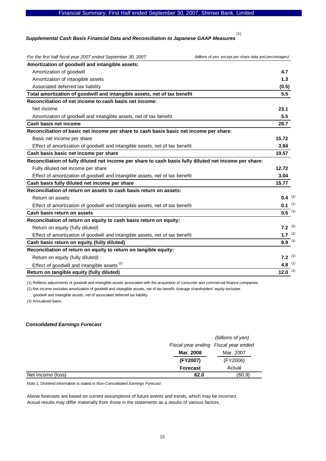#### Financial Summary: First Half ended September 30, 2007, Shinsei Bank, Limited

#### *Supplemental Cash Basis Financial Data and Reconciliation to Japanese GAAP Measures*  (1)

| For the first half fiscal year 2007 ended September 30, 2007<br>(billions of yen, except per share data and percentages) |                       |
|--------------------------------------------------------------------------------------------------------------------------|-----------------------|
| Amortization of goodwill and intangible assets:                                                                          |                       |
| Amortization of goodwill                                                                                                 | 4.7                   |
| Amortization of intangible assets                                                                                        | 1.3                   |
| Associated deferred tax liability                                                                                        | (0.5)                 |
| Total amortization of goodwill and intangible assets, net of tax benefit                                                 | 5.5                   |
| Reconciliation of net income to cash basis net income:                                                                   |                       |
| Net income                                                                                                               | 23.1                  |
| Amortization of goodwill and intangible assets, net of tax benefit                                                       | 5.5                   |
| Cash basis net income                                                                                                    | 28.7                  |
| Reconciliation of basic net income per share to cash basis basic net income per share:                                   |                       |
| Basic net income per share                                                                                               | 15.72                 |
| Effect of amortization of goodwill and intangible assets, net of tax benefit                                             | 3.84                  |
| Cash basis basic net income per share                                                                                    | 19.57                 |
| Reconciliation of fully diluted net income per share to cash basis fully diluted net income per share:                   |                       |
| Fully diluted net income per share                                                                                       | 12.72                 |
| Effect of amortization of goodwill and intangible assets, net of tax benefit                                             | 3.04                  |
| Cash basis fully diluted net income per share                                                                            | 15.77                 |
| Reconciliation of return on assets to cash basis return on assets:                                                       |                       |
| Return on assets                                                                                                         | $0.4^{(3)}$           |
| Effect of amortization of goodwill and intangible assets, net of tax benefit                                             | $0.1^{(3)}$           |
| Cash basis return on assets                                                                                              | $0.5$ <sup>(3)</sup>  |
| Reconciliation of return on equity to cash basis return on equity:                                                       |                       |
| Return on equity (fully diluted)                                                                                         | 7.2 $(3)$             |
| Effect of amortization of goodwill and intangible assets, net of tax benefit                                             | 1.7 $(3)$             |
| Cash basis return on equity (fully diluted)                                                                              | $8.9^{-(3)}$          |
| Reconciliation of return on equity to return on tangible equity:                                                         |                       |
| Return on equity (fully diluted)                                                                                         | $7.2^{(3)}$           |
| Effect of goodwill and intangible assets <sup>(2)</sup>                                                                  | 4.8 $(3)$             |
| Return on tangible equity (fully diluted)                                                                                | $12.0$ <sup>(3)</sup> |

(1) Reflects adjustments of goodwill and intangible assets associated with the acquisition of consumer and commercial finance companies.

(2) Net income excludes amortization of goodwill and intangible assets, net of tax benefit. Average shareholders' equity excludes

goodwill and intangible assets, net of associated deferred tax liability.

(3) Annualized basis.

#### *Consolidated Earnings Forecast*

|                   |                 | (billions of yen)                    |
|-------------------|-----------------|--------------------------------------|
|                   |                 | Fiscal year ending Fiscal year ended |
|                   | Mar. 2008       | Mar. 2007                            |
|                   | (FY2007)        | (FY2006)                             |
|                   | <b>Forecast</b> | Actual                               |
| Net income (loss) | 62.0            | (60.9)                               |

Note 1: Dividend information is stated in *Non-Consolidated Earnings Forecast*

Above forecasts are based on current assumptions of future events and trends, which may be incorrect. Actual results may differ materially from those in the statements as a results of various factors.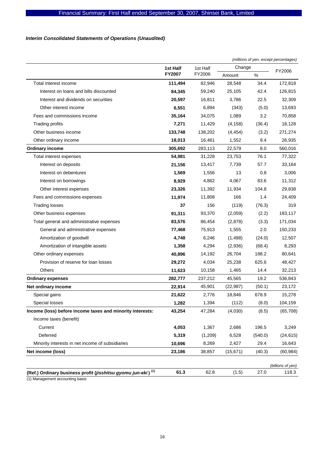## *Interim Consolidated Statements of Operations (Unaudited)*

|                                                                          |               |          |           | (millions of yen, except percentages) |                   |
|--------------------------------------------------------------------------|---------------|----------|-----------|---------------------------------------|-------------------|
|                                                                          | 1st Half      | 1st Half | Change    |                                       | FY2006            |
|                                                                          | <b>FY2007</b> | FY2006   | Amount    | $\%$                                  |                   |
| Total interest income                                                    | 111,494       | 82,946   | 28,548    | 34.4                                  | 172,818           |
| Interest on loans and bills discounted                                   | 84,345        | 59,240   | 25,105    | 42.4                                  | 126,815           |
| Interest and dividends on securities                                     | 20,597        | 16,811   | 3,786     | 22.5                                  | 32,309            |
| Other interest income                                                    | 6,551         | 6,894    | (343)     | (5.0)                                 | 13,693            |
| Fees and commissions income                                              | 35,164        | 34,075   | 1,089     | 3.2                                   | 70,858            |
| Trading profits                                                          | 7,271         | 11,429   | (4, 158)  | (36.4)                                | 18,128            |
| Other business income                                                    | 133,748       | 138,202  | (4, 454)  | (3.2)                                 | 271,274           |
| Other ordinary income                                                    | 18,013        | 16,461   | 1,552     | 9.4                                   | 26,935            |
| <b>Ordinary income</b>                                                   | 305,692       | 283,113  | 22,579    | 8.0                                   | 560,016           |
| Total interest expenses                                                  | 54,981        | 31,228   | 23,753    | 76.1                                  | 77,322            |
| Interest on deposits                                                     | 21,156        | 13,417   | 7,739     | 57.7                                  | 33,164            |
| Interest on debentures                                                   | 1,569         | 1,556    | 13        | 0.8                                   | 3,006             |
| Interest on borrowings                                                   | 8,929         | 4,862    | 4,067     | 83.6                                  | 11,312            |
| Other interest expenses                                                  | 23,326        | 11,392   | 11,934    | 104.8                                 | 29,838            |
| Fees and commissions expenses                                            | 11,974        | 11,808   | 166       | 1.4                                   | 24,409            |
| <b>Trading losses</b>                                                    | 37            | 156      | (119)     | (76.3)                                | 319               |
| Other business expenses                                                  | 91,311        | 93,370   | (2,059)   | (2.2)                                 | 183,117           |
| Total general and administrative expenses                                | 83,576        | 86,454   | (2,878)   | (3.3)                                 | 171,034           |
| General and administrative expenses                                      | 77,468        | 75,913   | 1,555     | 2.0                                   | 150,233           |
| Amortization of goodwill                                                 | 4,748         | 6,246    | (1,498)   | (24.0)                                | 12,507            |
| Amortization of intangible assets                                        | 1,358         | 4,294    | (2,936)   | (68.4)                                | 8,293             |
| Other ordinary expenses                                                  | 40,896        | 14,192   | 26,704    | 188.2                                 | 80,641            |
| Provision of reserve for loan losses                                     | 29,272        | 4,034    | 25,238    | 625.6                                 | 48,427            |
| Others                                                                   | 11,623        | 10,158   | 1,465     | 14.4                                  | 32,213            |
| <b>Ordinary expenses</b>                                                 | 282,777       | 237,212  | 45,565    | 19.2                                  | 536,843           |
| Net ordinary income                                                      | 22,914        | 45,901   | (22, 987) | (50.1)                                | 23,172            |
| Special gains                                                            | 21,622        | 2,776    | 18,846    | 678.9                                 | 15,278            |
| Special losses                                                           | 1,282         | 1,394    | (112)     | (8.0)                                 | 104,159           |
| Income (loss) before income taxes and minority interests:                | 43,254        | 47,284   | (4,030)   | (8.5)                                 | (65, 708)         |
| Income taxes (benefit)                                                   |               |          |           |                                       |                   |
| Current                                                                  | 4,053         | 1,367    | 2,686     | 196.5                                 | 3,249             |
| Deferred                                                                 | 5,319         | (1,209)  | 6,528     | (540.0)                               | (24, 615)         |
| Minority interests in net income of subsidiaries                         | 10,696        | 8,269    | 2,427     | 29.4                                  | 16,643            |
| Net income (loss)                                                        | 23,186        | 38,857   | (15, 671) | (40.3)                                | (60, 984)         |
|                                                                          |               |          |           |                                       | (billions of yen) |
| (Ref.) Ordinary business profit (jisshitsu gyomu jun-eki) <sup>(1)</sup> | 61.3          | 62.8     | (1.5)     | 27.0                                  | 118.3             |

(1) Management accounting basis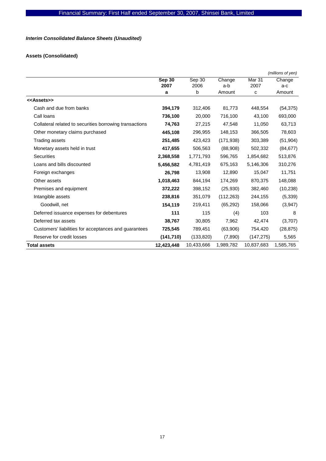## *Interim Consolidated Balance Sheets (Unaudited)*

## **Assets (Consolidated)**

|                                                         |            |            |            |                   | (millions of yen) |
|---------------------------------------------------------|------------|------------|------------|-------------------|-------------------|
|                                                         | Sep 30     | Sep 30     | Change     | Mar <sub>31</sub> | Change            |
|                                                         | 2007       | 2006       | a-b        | 2007              | a-c               |
|                                                         | a          | b          | Amount     | C                 | Amount            |
| < <assets>&gt;</assets>                                 |            |            |            |                   |                   |
| Cash and due from banks                                 | 394,179    | 312,406    | 81,773     | 448,554           | (54, 375)         |
| Call loans                                              | 736,100    | 20,000     | 716,100    | 43,100            | 693,000           |
| Collateral related to securities borrowing transactions | 74,763     | 27,215     | 47,548     | 11,050            | 63,713            |
| Other monetary claims purchased                         | 445,108    | 296,955    | 148,153    | 366,505           | 78,603            |
| Trading assets                                          | 251,485    | 423,423    | (171, 938) | 303,389           | (51, 904)         |
| Monetary assets held in trust                           | 417,655    | 506,563    | (88,908)   | 502,332           | (84, 677)         |
| <b>Securities</b>                                       | 2,368,558  | 1,771,793  | 596,765    | 1,854,682         | 513,876           |
| Loans and bills discounted                              | 5,456,582  | 4,781,419  | 675,163    | 5,146,306         | 310,276           |
| Foreign exchanges                                       | 26,798     | 13,908     | 12,890     | 15,047            | 11,751            |
| Other assets                                            | 1,018,463  | 844,194    | 174,269    | 870,375           | 148,088           |
| Premises and equipment                                  | 372,222    | 398,152    | (25, 930)  | 382,460           | (10, 238)         |
| Intangible assets                                       | 238,816    | 351,079    | (112, 263) | 244,155           | (5, 339)          |
| Goodwill, net                                           | 154,119    | 219,411    | (65, 292)  | 158,066           | (3,947)           |
| Deferred issuance expenses for debentures               | 111        | 115        | (4)        | 103               | 8                 |
| Deferred tax assets                                     | 38,767     | 30,805     | 7,962      | 42,474            | (3,707)           |
| Customers' liabilities for acceptances and guarantees   | 725,545    | 789,451    | (63,906)   | 754,420           | (28, 875)         |
| Reserve for credit losses                               | (141, 710) | (133, 820) | (7,890)    | (147, 275)        | 5,565             |
| <b>Total assets</b>                                     | 12,423,448 | 10,433,666 | 1,989,782  | 10,837,683        | 1,585,765         |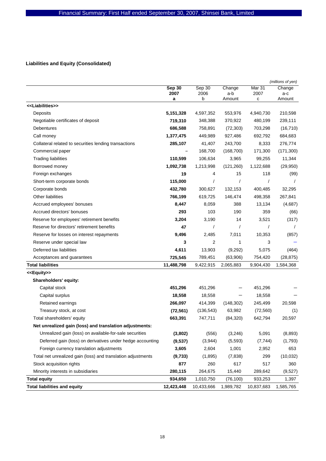## **Liabilities and Equity (Consolidated)**

|                                                              |            |                |               |            | (millions of yen) |
|--------------------------------------------------------------|------------|----------------|---------------|------------|-------------------|
|                                                              | Sep 30     | Sep 30         | Change        | Mar 31     | Change            |
|                                                              | 2007<br>а  | 2006<br>b      | a-b<br>Amount | 2007<br>с  | a-c<br>Amount     |
| < <liabilities>&gt;</liabilities>                            |            |                |               |            |                   |
| Deposits                                                     | 5,151,328  | 4,597,352      | 553,976       | 4,940,730  | 210,598           |
| Negotiable certificates of deposit                           | 719,310    | 348,388        | 370,922       | 480,199    | 239,111           |
| Debentures                                                   | 686,588    | 758,891        | (72, 303)     | 703,298    | (16, 710)         |
| Call money                                                   | 1,377,475  | 449,989        | 927,486       | 692,792    | 684,683           |
| Collateral related to securities lending transactions        | 285,107    | 41,407         | 243,700       | 8,333      | 276,774           |
| Commercial paper                                             |            | 168,700        | (168, 700)    | 171,300    | (171, 300)        |
| <b>Trading liabilities</b>                                   | 110,599    | 106,634        | 3,965         | 99,255     | 11,344            |
| Borrowed money                                               | 1,092,738  | 1,213,998      | (121, 260)    | 1,122,688  | (29, 950)         |
| Foreign exchanges                                            | 19         | 4              | 15            | 118        | (99)              |
| Short-term corporate bonds                                   | 115,000    | $\prime$       | $\prime$      | 1          |                   |
| Corporate bonds                                              | 432,780    | 300,627        | 132,153       | 400,485    | 32,295            |
| Other liabilities                                            | 766,199    | 619,725        | 146,474       | 498,358    | 267,841           |
| Accrued employees' bonuses                                   | 8,447      | 8,059          | 388           | 13,134     | (4,687)           |
| Accrued directors' bonuses                                   | 293        | 103            | 190           | 359        | (66)              |
| Reserve for employees' retirement benefits                   | 3,204      | 3,190          | 14            | 3,521      | (317)             |
| Reserve for directors' retirement benefits                   | 47         | $\prime$       | $\prime$      | 1          |                   |
| Reserve for losses on interest repayments                    | 9,496      | 2,485          | 7,011         | 10,353     | (857)             |
| Reserve under special law                                    | 3          | $\overline{2}$ | 1             | 3          |                   |
| Deferred tax liabilities                                     | 4,611      | 13,903         | (9,292)       | 5,075      | (464)             |
| Acceptances and guarantees                                   | 725,545    | 789,451        | (63,906)      | 754,420    | (28, 875)         |
| <b>Total liabilities</b>                                     | 11,488,798 | 9,422,915      | 2,065,883     | 9,904,430  | 1,584,368         |
| < <equity>&gt;</equity>                                      |            |                |               |            |                   |
| Shareholders' equity:                                        |            |                |               |            |                   |
| Capital stock                                                | 451,296    | 451,296        |               | 451,296    |                   |
| Capital surplus                                              | 18,558     | 18,558         |               | 18,558     |                   |
| Retained earnings                                            | 266,097    | 414,399        | (148, 302)    | 245,499    | 20,598            |
| Treasury stock, at cost                                      | (72, 561)  | (136, 543)     | 63,982        | (72, 560)  | (1)               |
| Total shareholders' equity                                   | 663,391    | 747,711        | (84, 320)     | 642,794    | 20,597            |
| Net unrealized gain (loss) and translation adjustments:      |            |                |               |            |                   |
| Unrealized gain (loss) on available-for-sale securities      | (3,802)    | (556)          | (3,246)       | 5,091      | (8,893)           |
| Deferred gain (loss) on derivatives under hedge accounting   | (9,537)    | (3,944)        | (5, 593)      | (7, 744)   | (1,793)           |
| Foreign currency translation adjustments                     | 3,605      | 2,604          | 1,001         | 2,952      | 653               |
| Total net unrealized gain (loss) and translation adjustments | (9,733)    | (1,895)        | (7,838)       | 299        | (10, 032)         |
| Stock acquisition rights                                     | 877        | 260            | 617           | 517        | 360               |
| Minority interests in subsidiaries                           | 280,115    | 264,675        | 15,440        | 289,642    | (9,527)           |
| <b>Total equity</b>                                          | 934,650    | 1,010,750      | (76, 100)     | 933,253    | 1,397             |
| <b>Total liabilities and equity</b>                          | 12,423,448 | 10,433,666     | 1,989,782     | 10,837,683 | 1,585,765         |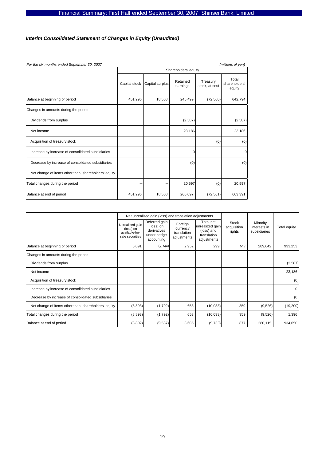## *Interim Consolidated Statement of Changes in Equity (Unaudited)*

| For the six months ended September 30, 2007<br>(millions of yen) |                      |                 |                      |                            |                                  |  |  |  |  |  |
|------------------------------------------------------------------|----------------------|-----------------|----------------------|----------------------------|----------------------------------|--|--|--|--|--|
|                                                                  | Shareholders' equity |                 |                      |                            |                                  |  |  |  |  |  |
|                                                                  | Capital stock        | Capital surplus | Retained<br>earnings | Treasury<br>stock, at cost | Total<br>shareholders'<br>equity |  |  |  |  |  |
| Balance at beginning of period                                   | 451,296              | 18,558          | 245,499              | (72, 560)                  | 642,794                          |  |  |  |  |  |
| Changes in amounts during the period                             |                      |                 |                      |                            |                                  |  |  |  |  |  |
| Dividends from surplus                                           |                      |                 | (2,587)              |                            | (2, 587)                         |  |  |  |  |  |
| Net income                                                       |                      |                 | 23,186               |                            | 23,186                           |  |  |  |  |  |
| Acquisition of treasury stock                                    |                      |                 |                      | (0)                        | (0)                              |  |  |  |  |  |
| Increase by increase of consolidated subsidiaries                |                      |                 | 0                    |                            | $\Omega$                         |  |  |  |  |  |
| Decrease by increase of consolidated subsidiaries                |                      |                 | (0)                  |                            | (0)                              |  |  |  |  |  |
| Net change of items other than shareholders' equity              |                      |                 |                      |                            |                                  |  |  |  |  |  |
| Total changes during the period                                  |                      |                 | 20,597               | (0)                        | 20,597                           |  |  |  |  |  |
| Balance at end of period                                         | 451,296              | 18,558          | 266,097              | (72, 561)                  | 663,391                          |  |  |  |  |  |

|                                                     |                                                                   | Net unrealized gain (loss) and translation adjustments                 |                                                   |                                                                          |                                       |                                          |              |
|-----------------------------------------------------|-------------------------------------------------------------------|------------------------------------------------------------------------|---------------------------------------------------|--------------------------------------------------------------------------|---------------------------------------|------------------------------------------|--------------|
|                                                     | Unrealized gain<br>(loss) on<br>available-for-<br>sale securities | Deferred gain<br>(loss) on<br>derivatives<br>under hedge<br>accounting | Foreign<br>currency<br>translation<br>adjustments | Total net<br>unrealized gain<br>(loss) and<br>translation<br>adjustments | <b>Stock</b><br>acquisition<br>rights | Minority<br>interests in<br>subsidiaries | Total equity |
| Balance at beginning of period                      | 5,091                                                             | (7,744)                                                                | 2,952                                             | 299                                                                      | 517                                   | 289,642                                  | 933,253      |
| Changes in amounts during the period                |                                                                   |                                                                        |                                                   |                                                                          |                                       |                                          |              |
| Dividends from surplus                              |                                                                   |                                                                        |                                                   |                                                                          |                                       |                                          | (2,587)      |
| Net income                                          |                                                                   |                                                                        |                                                   |                                                                          |                                       |                                          | 23,186       |
| Acquisition of treasury stock                       |                                                                   |                                                                        |                                                   |                                                                          |                                       |                                          | (0)          |
| Increase by increase of consolidated subsidiaries   |                                                                   |                                                                        |                                                   |                                                                          |                                       |                                          | $\mathbf 0$  |
| Decrease by increase of consolidated subsidiaries   |                                                                   |                                                                        |                                                   |                                                                          |                                       |                                          | (0)          |
| Net change of items other than shareholders' equity | (8,893)                                                           | (1,792)                                                                | 653                                               | (10, 033)                                                                | 359                                   | (9,526)                                  | (19,200)     |
| Total changes during the period                     | (8,893)                                                           | (1,792)                                                                | 653                                               | (10,033)                                                                 | 359                                   | (9,526)                                  | 1,396        |
| Balance at end of period                            | (3,802)                                                           | (9,537)                                                                | 3,605                                             | (9,733)                                                                  | 877                                   | 280,115                                  | 934,650      |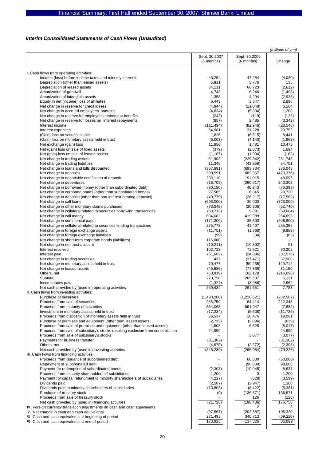## *Interim Consolidated Statements of Cash Flows (Unaudited)*

|                                                                                  |               |               | (millions of yen) |
|----------------------------------------------------------------------------------|---------------|---------------|-------------------|
|                                                                                  | Sept. 30,2007 | Sept. 30,2006 |                   |
|                                                                                  | (6 months)    | (6 months)    | Change            |
|                                                                                  |               |               |                   |
|                                                                                  |               |               |                   |
| I. Cash flows from operating activities:                                         |               |               |                   |
| Income (loss) before income taxes and minority interests                         | 43,254        | 47,284        | (4,030)           |
| Depreciation (other than leased assets)                                          | 5,911         | 5,776         | 135               |
| Depreciation of leased assets                                                    | 64,111        | 66,723        | (2,612)           |
|                                                                                  |               |               |                   |
| Amortization of goodwill                                                         | 4,748         | 6,246         | (1, 498)          |
| Amortization of intangible assets                                                | 1,358         | 4,294         | (2,936)           |
| Equity in net (income) loss of affiliates                                        | 6,443         | 3,547         | 2,896             |
| Net change in reserve for credit losses                                          | (4, 944)      | (11, 048)     | 6,104             |
| Net change in accrued employees' bonuses                                         | (4,634)       | (5,834)       | 1,200             |
| Net change in reserve for employees' retirement benefits                         | (242)         | (119)         | (123)             |
|                                                                                  |               |               |                   |
| Net change in reserve for losses on interest repayments                          | (857)         | 2,485         | (3, 342)          |
| Interest income                                                                  | (111, 494)    | (82,946)      | (28, 548)         |
| Interest expenses                                                                | 54,981        | 31,228        | 23,753            |
| (Gain) loss on securities sold                                                   | 1,826         | (6,615)       | 8,441             |
| (Gain) loss on monetary assets held in trust                                     | (6,003)       | (4, 140)      | (1,863)           |
| Net exchange (gain) loss                                                         | 11,956        | 1,481         | 10,475            |
|                                                                                  |               |               |                   |
| Net (gain) loss on sale of fixed assets                                          | (379)         | (2,073)       | 1,694             |
| Net (gain) loss on sale of leased assets                                         | (1, 167)      | (1,004)       | (163)             |
| Net change in trading assets                                                     | 51,903        | (229, 842)    | 281,745           |
| Net change in trading liabilities                                                | 11,345        | (43, 356)     | 54,701            |
| Net change in loans and bills discounted                                         | (307, 691)    | (693, 734)    | 386,043           |
| Net change in deposits                                                           | 209,591       | 682,967       | (473, 376)        |
|                                                                                  |               |               |                   |
| Net change in negotiable certificates of deposit                                 | 239,110       | 191,015       | 48,095            |
| Net change in debentures                                                         | (16, 709)     | (260, 017)    | 243,308           |
| Net change in borrowed money (other than subordinated debt)                      | (30, 150)     | 46,243        | (76, 393)         |
| Net change in corporate bonds (other than subordinated bonds)                    | 27,565        | 6,845         | 20,720            |
| Net change in deposits (other than non-interest-bearing deposits)                | (43, 779)     | (26, 217)     | (17, 562)         |
| Net change in call loans                                                         | (693,000)     | 30,000        |                   |
|                                                                                  |               |               | (723,000)         |
| Net change in other monetary claims purchased                                    | (73, 045)     | (20, 305)     | (52, 740)         |
| Net change in collateral related to securities borrowing transactions            | (63, 713)     | 5,891         | (69, 604)         |
| Net change in call money                                                         | 684,682       | 419,989       | 264,693           |
| Net change in commercial paper                                                   | (171, 300)    | 35,500        | (206, 800)        |
| Net change in collateral related to securities lending transactions              | 276,773       | 41,407        | 235,366           |
|                                                                                  |               |               |                   |
| Net change in foreign exchange assets                                            | (11,751)      | (1,768)       | (9,983)           |
| Net change in foreign exchange liabilities                                       | (99)          | (34)          | (65)              |
| Net change in short-term corporate bonds (liabilities)                           | 115,000       |               |                   |
| Net change in net trust account                                                  | (10, 211)     | (10, 302)     | 91                |
| Interest received                                                                | 102,723       | 72,521        | 30,202            |
|                                                                                  |               |               |                   |
| Interest paid                                                                    | (61, 662)     | (24,086)      | (37, 576)         |
| Net change in trading securities                                                 | 437           | (37, 471)     | 37,908            |
| Net change in monetary assets held in trust                                      | 70,477        | (59, 235)     | 129,712           |
| Net change in leased assets                                                      | (46, 686)     | (77, 836)     | 31,150            |
| Others, net                                                                      | (53, 919)     | 162,179       | (216,098)         |
| Subtotal                                                                         | 270,758       | 265,637       | 5,121             |
|                                                                                  |               |               |                   |
| Income taxes paid                                                                | (1, 324)      | (3,986)       | 2,662             |
| Net cash provided by (used in) operating activities                              | 269,434       | 261,651       | 7,783             |
| II. Cash flows from investing activities:                                        |               |               |                   |
| Purchase of securities                                                           | (1,493,208)   | (1,210,621)   | (282, 587)        |
| Proceeds from sale of securities                                                 | 286,759       | 64,414        | 222,345           |
| Proceeds from maturity of securities                                             | 854,063       | 861,947       | (7,884)           |
|                                                                                  | (17, 234)     |               | (11, 726)         |
| Investment in monetary assets held in trust                                      |               | (5,508)       |                   |
| Proceeds from disposition of monetary assets held in trust                       | 36,537        | 18,476        | 18,061            |
| Purchase of premises and equipment (other than leased assets)                    | (2,733)       | (2,094)       | (639)             |
| Proceeds from sale of premises and equipment (other than leased assets)          | 1,508         | 6,525         | (5,017)           |
| Proceeds from sale of subsidiary's stocks resulting exclusion from consolidation | 24,999        |               | 24,999            |
| Proceeds from sale of subsidiary's stocks                                        |               | 3,077         | (3,077)           |
| Payments for business transfer                                                   |               |               |                   |
|                                                                                  | (31, 302)     |               | (31, 302)         |
| Others, net                                                                      | (4,670)       | (2,272)       | (2,398)           |
| Net cash provided by (used in) investing activities                              | (345, 280)    | (266, 054)    | (79, 226)         |
| III. Cash flows from financing activities:                                       |               |               |                   |
| Proceeds from issuance of subordinated debt                                      |               | 60,000        | (60,000)          |
| Repayment of subordinated debt                                                   |               | (98,000)      | 98,000            |
|                                                                                  |               |               |                   |
| Payment for redemption of subordinated bonds                                     | (2,308)       | (10, 945)     | 8,637             |
| Proceeds from minority shareholders of subsidiaries                              | 1,200         |               | 1,200             |
| Payment for capital refundment to minority shareholders of subsidiaries          | (4,227)       | (628)         | (3,599)           |
| Dividends paid                                                                   | (2,587)       | (3, 947)      | 1,360             |
| Dividends paid to minority shareholders of subsidiaries                          | (13, 803)     | (8, 422)      | (5,381)           |
| Purchase of treasury stock                                                       | (0)           | (136, 671)    | 136,671           |
|                                                                                  |               |               |                   |
| Proceeds from sale of treasury stock                                             |               | 126           | (126)             |
| Net cash provided by (used in) financing activities                              | (21, 728)     | (198, 486)    | 176,758           |
| IV. Foreign currency translation adjustments on cash and cash equivalents        | 7             | 2             | 5                 |
| V. Net change in cash and cash equivalents                                       | (97, 567)     | (202, 887)    | 105,320           |
| VI. Cash and cash equivalents at beginning of period                             | 271,493       | 340,713       | (69, 220)         |
| VII. Cash and cash equivalents at end of period                                  | 173,925       | 137,826       | 36,099            |
|                                                                                  |               |               |                   |
|                                                                                  |               |               |                   |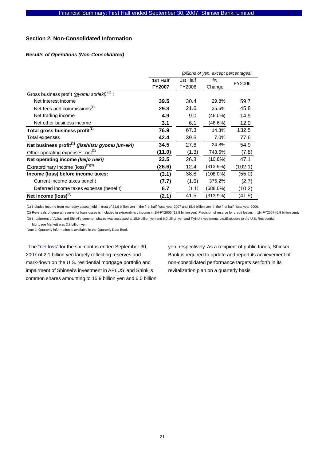#### **Section 2. Non-Consolidated Information**

### *Results of Operations (Non-Consolidated)*

|                                                              |               | (billions of yen, except percentages) |             |         |  |  |  |
|--------------------------------------------------------------|---------------|---------------------------------------|-------------|---------|--|--|--|
|                                                              | 1st Half      | 1st Half<br>%<br>FY2006               |             |         |  |  |  |
|                                                              | <b>FY2007</b> | FY2006                                | Change      |         |  |  |  |
| Gross business profit (gyomu sorieki) <sup>(1)</sup> :       |               |                                       |             |         |  |  |  |
| Net interest income                                          | 39.5          | 30.4                                  | 29.8%       | 59.7    |  |  |  |
| Net fees and commissions <sup>(1)</sup>                      | 29.3          | 21.6                                  | 35.6%       | 45.8    |  |  |  |
| Net trading income                                           | 4.9           | 9.0                                   | $(46.0\%)$  | 14.9    |  |  |  |
| Net other business income                                    | 3.1           | 6.1                                   | (48.6%)     | 12.0    |  |  |  |
| Total gross business profit <sup>(1)</sup>                   | 76.9          | 67.3                                  | 14.3%       | 132.5   |  |  |  |
| Total expenses                                               | 42.4          | 39.6                                  | 7.0%        | 77.6    |  |  |  |
| Net business profit <sup>(1)</sup> (jisshitsu gyomu jun-eki) | 34.5          | 27.6                                  | 24.8%       | 54.9    |  |  |  |
| Other operating expenses, net $(2)$                          | (11.0)        | (1.3)                                 | 743.5%      | (7.8)   |  |  |  |
| Net operating income (keijo rieki)                           | 23.5          | 26.3                                  | $(10.8\%)$  | 47.1    |  |  |  |
| Extraordinary income $(logs)^{(2)(3)}$                       | (26.6)        | 12.4                                  | (313.9%)    | (102.1) |  |  |  |
| Income (loss) before income taxes:                           | (3.1)         | 38.8                                  | $(108.0\%)$ | (55.0)  |  |  |  |
| Current income taxes benefit                                 | (7.7)         | (1.6)                                 | 375.2%      | (2.7)   |  |  |  |
| Deferred income taxes expense (benefit)                      | 6.7           | (1.1)                                 | (688.0%)    | (10.2)  |  |  |  |
| Net income $(logs)$ <sup>(3)</sup>                           | (2.1)         | 41.5                                  | (313.9%)    | (41.9)  |  |  |  |

(1) Includes income from monetary assets held in trust of 21.6 billion yen in the first half fiscal year 2007 and 15.4 billion yen in the first half fiscal year 2006.

(2) Reversals of general reserve for loan losses is included in extraordinary income in 1H-FY2006 (12.8 billion yen).Provision of reserve for credit losses in 1H-FY2007 (5.9 billion yen). (3) Impairment of Aplus' and Shinki's common shares was assessed at 15.9 billion yen and 6.0 billion yen and TAKU Investments Ltd.(Exposure to the U.S. Residential

Mortgage Market) was 3.7 billion yen.

Note 1: Quarterly information is available in the Quarterly Data Book

The "net loss" for the six months ended September 30, 2007 of 2.1 billion yen largely reflecting reserves and mark-down on the U.S. residential mortgage portfolio and impairment of Shinsei's investment in APLUS' and Shinki's common shares amounting to 15.9 billion yen and 6.0 billion yen, respectively. As a recipient of public funds, Shinsei Bank is required to update and report its achievement of non-consolidated performance targets set forth in its revitalization plan on a quarterly basis.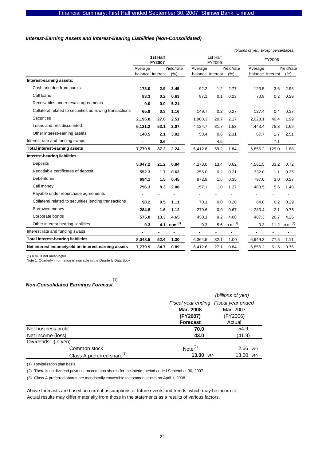#### *Interest-Earning Assets and Interest-Bearing Liabilities (Non-Consolidated)*

|                                                         |                  |                    |                     |                  |                          |                          | (billions of yen, except percentages) |                          |                          |
|---------------------------------------------------------|------------------|--------------------|---------------------|------------------|--------------------------|--------------------------|---------------------------------------|--------------------------|--------------------------|
|                                                         |                  | 1st Half<br>FY2007 |                     |                  | 1st Half<br>FY2006       |                          |                                       | FY2006                   |                          |
|                                                         | Average          |                    | Yield/rate          | Average          |                          | Yield/rate               | Average                               |                          | Yield/rate               |
|                                                         | balance Interest |                    | (% )                | balance Interest |                          | (% )                     | balance Interest                      |                          | (% )                     |
| Interest-earning assets:                                |                  |                    |                     |                  |                          |                          |                                       |                          |                          |
| Cash and due from banks                                 | 173.0            | 2.9                | 3.45                | 92.2             | 1.2                      | 2.77                     | 123.5                                 | 3.6                      | 2.96                     |
| Call loans                                              | 83.3             | 0.2                | 0.63                | 87.1             | 0.1                      | 0.23                     | 70.8                                  | 0.2                      | 0.29                     |
| Receivables under resale agreements                     | 0.0              | 0.0                | 5.21                |                  |                          |                          |                                       |                          |                          |
| Collateral related to securities borrowing transactions | 65.8             | 0.3                | 1.16                | 149.7            | 0.2                      | 0.27                     | 127.4                                 | 0.4                      | 0.37                     |
| <b>Securities</b>                                       | 2,195.8          | 27.6               | 2.51                | 1,900.3          | 20.7                     | 2.17                     | 2,023.1                               | 40.4                     | 1.99                     |
| Loans and bills discounted                              | 5,121.2          | 53.1               | 2.07                | 4,124.7          | 31.7                     | 1.53                     | 4,443.4                               | 75.3                     | 1.69                     |
| Other interest-earning assets                           | 140.5            | 2.1                | 3.02                | 58.4             | 0.6                      | 2.31                     | 67.7                                  | 1.7                      | 2.51                     |
| Interest rate and funding swaps                         | $\blacksquare$   | 0.6                | $\blacksquare$      |                  | 4.5                      | $\overline{\phantom{a}}$ | $\overline{\phantom{a}}$              | 7.1                      | $\overline{\phantom{a}}$ |
| <b>Total interest-earning assets</b>                    | 7,779.9          | 87.2               | 2.24                | 6,412.6          | 59.2                     | 1.84                     | 6,856.2                               | 129.0                    | 1.88                     |
| Interest-bearing liabilities:                           |                  |                    |                     |                  |                          |                          |                                       |                          |                          |
| Deposits                                                | 5,047.2          | 21.2               | 0.84                | 4,278.0          | 13.4                     | 0.62                     | 4,561.5                               | 33.2                     | 0.72                     |
| Negotiable certificates of deposit                      | 552.3            | 1.7                | 0.63                | 256.0            | 0.2                      | 0.21                     | 332.0                                 | 1.1                      | 0.35                     |
| Debentures                                              | 694.1            | 1.5                | 0.45                | 872.9            | 1.5                      | 0.35                     | 797.0                                 | 3.0                      | 0.37                     |
| Call money                                              | 796.3            | 8.3                | 2.08                | 157.1            | 1.0                      | 1.27                     | 403.5                                 | 5.6                      | 1.40                     |
| Payable under repurchase agreements                     |                  |                    |                     |                  |                          |                          |                                       |                          |                          |
| Collateral related to securities lending transactions   | 98.2             | 0.5                | 1.11                | 70.1             | 0.0                      | 0.20                     | 84.0                                  | 0.2                      | 0.29                     |
| Borrowed money                                          | 284.8            | 1.6                | 1.12                | 279.6            | 0.9                      | 0.67                     | 283.4                                 | 2.1                      | 0.75                     |
| Corporate bonds                                         | 575.0            | 13.3               | 4.65                | 450.1            | 9.2                      | 4.08                     | 487.3                                 | 20.7                     | 4.26                     |
| Other interest-bearing liabilities                      | 0.3              | 4.1                | n.m. <sup>(1)</sup> | 0.3              | 5.6                      | n.m. <sup>(1)</sup>      | 0.3                                   | 11.2                     | n.m. <sup>(1)</sup>      |
| Interest rate and funding swaps                         | ۰                |                    |                     |                  | $\overline{\phantom{a}}$ |                          | $\blacksquare$                        | $\overline{\phantom{a}}$ | $\overline{\phantom{0}}$ |
| <b>Total interest-bearing liabilities</b>               | 8,048.5          | 52.4               | 1.30                | 6.364.5          | 32.1                     | 1.00                     | 6,949.3                               | 77.5                     | 1.11                     |
| Net interest income/yield on interest-earning assets    | 7,779.9          | 34.7               | 0.89                | 6,412.6          | 27.1                     | 0.84                     | 6,856.2                               | 51.5                     | 0.75                     |

(1) n.m. is not meaningful. Note 1: Quarterly information is available in the Quarterly Data Book

#### *Non-Consolidated Earnings Forecast*  (1)

|                                        |                                      | (billions of yen) |
|----------------------------------------|--------------------------------------|-------------------|
|                                        | Fiscal year ending Fiscal year ended |                   |
|                                        | Mar. 2008                            | Mar. 2007         |
|                                        | (FY2007)                             | (FY2006)          |
|                                        | <b>Forecast</b>                      | Actual            |
| Net business profit                    | 70.0                                 | 54.9              |
| Net income (loss)                      | 43.0                                 | (41.9)            |
| Dividends<br>(in yen)                  |                                      |                   |
| Common stock                           | Note <sup>(2)</sup>                  | $2.66$ yen        |
| Class A preferred share <sup>(3)</sup> | 13.00<br>yen                         | 13.00 yen         |

(1) Revitalization plan basis

(2) There is no dividend payment on common shares for the interim period ended September 30, 2007.

(3) Class A preferred shares are mandatorily convertible to common stocks on April 1, 2008.

Above forecasts are based on current assumptions of future events and trends, which may be incorrect. Actual results may differ materially from those in the statements as a results of various factors.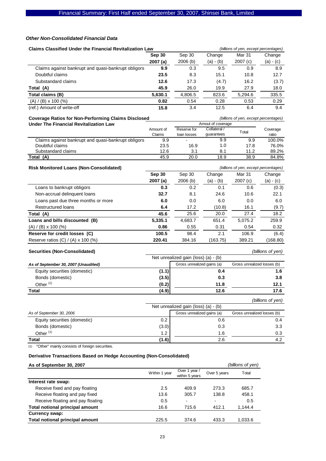#### *Other Non-Consolidated Financial Data*

| <b>Claims Classified Under the Financial Revitalization Law</b>      |                |                                      |                          | (billions of yen, except percentages) |                   |
|----------------------------------------------------------------------|----------------|--------------------------------------|--------------------------|---------------------------------------|-------------------|
|                                                                      | Sep 30         | Sep 30                               | Change                   | Mar 31                                | Change            |
|                                                                      | 2007(a)        | 2006(b)                              | $(a) - (b)$              | 2007 (c)                              | $(a) - (c)$       |
| Claims against bankrupt and quasi-bankrupt obligors                  | 9.9            | 0.3                                  | 9.5                      | 0.9                                   | 8.9               |
| Doubtful claims                                                      | 23.5           | 8.3                                  | 15.1                     | 10.8                                  | 12.7              |
| Substandard claims                                                   | 12.6           | 17.3                                 | (4.7)                    | 16.2                                  | (3.7)             |
| Total (A)                                                            | 45.9           | 26.0                                 | 19.9                     | 27.9                                  | 18.0              |
| Total claims (B)                                                     | 5,630.1        | 4,806.5                              | 823.6                    | 5,294.6                               | 335.5             |
| $(A) / (B) \times 100$ (%)                                           | 0.82           | 0.54                                 | 0.28                     | 0.53                                  | 0.29              |
| (ref.) Amount of write-off                                           | 15.8           | 3.4                                  | 12.5                     | 6.4                                   | 9.4               |
| <b>Coverage Ratios for Non-Performing Claims Disclosed</b>           |                |                                      |                          | (billions of yen, except percentages) |                   |
| <b>Under The Financial Revitalization Law</b>                        |                |                                      | Amout of coverage        |                                       |                   |
|                                                                      | Amount of      | Reserve for                          | Collateral /             | Total                                 | Coverage          |
| Claims against bankrupt and quasi-bankrupt obligors                  | Claims<br>9.9  | loan losses                          | guarantees<br>9.9        | 9.9                                   | ratio<br>100.0%   |
| Doubtful claims                                                      | 23.5           | 16.9                                 | 1.0                      | 17.8                                  | 76.0%             |
| Substandard claims                                                   | 12.6           | 3.1                                  | 8.1                      | 11.2                                  | 89.2%             |
| Total (A)                                                            | 45.9           | 20.0                                 | 18.9                     | 38.9                                  | 84.8%             |
|                                                                      |                |                                      |                          |                                       |                   |
| <b>Risk Monitored Loans (Non-Consolidated)</b>                       |                |                                      |                          | (billions of yen, except percentages) |                   |
|                                                                      | <b>Sep 30</b>  | Sep 30                               | Change                   | Mar 31                                | Change            |
| Loans to bankrupt obligors                                           | 2007(a)<br>0.3 | 2006(b)<br>0.2                       | $(a) - (b)$<br>0.1       | 2007(c)<br>0.6                        | $(a) - (c)$       |
|                                                                      | 32.7           | 8.1                                  |                          | 10.6                                  | (0.3)<br>22.1     |
| Non-accrual delinquent loans<br>Loans past due three months or more  | 6.0            | 0.0                                  | 24.6<br>6.0              | 0.0                                   | 6.0               |
| <b>Restructured loans</b>                                            | 6.4            | 17.2                                 | (10.8)                   | 16.1                                  | (9.7)             |
|                                                                      | 45.6           | 25.6                                 | 20.0                     | 27.4                                  | 18.2              |
| Total (A)<br>Loans and bills discounted (B)                          | 5,335.1        | 4,683.7                              | 651.4                    | 5,075.2                               | 259.9             |
|                                                                      | 0.86           | 0.55                                 | 0.31                     | 0.54                                  | 0.32              |
| $(A) / (B) \times 100$ (%)<br>Reserve for credit losses (C)          | 100.5          | 98.4                                 | 2.1                      | 106.9                                 | (6.4)             |
| Reserve ratios (C) / (A) x 100 (%)                                   | 220.41         | 384.16                               | (163.75)                 | 389.21                                | (168.80)          |
|                                                                      |                |                                      |                          |                                       |                   |
| <b>Securities (Non-Consolidated)</b>                                 |                |                                      |                          |                                       | (billions of yen) |
|                                                                      |                | Net unrealized gain (loss) (a) - (b) |                          |                                       |                   |
| As of September 30, 2007 (Unaudited)                                 |                | Gross unrealized gains (a)           |                          | Gross unrealized losses (b)           |                   |
| Equity securities (domestic)                                         | (1.1)          |                                      | 0.4                      |                                       | 1.6               |
| Bonds (domestic)                                                     | (3.5)          |                                      | 0.3                      |                                       | 3.8               |
| Other <sup>(1)</sup>                                                 | (0.2)          |                                      | 11.8                     |                                       | 12.1              |
| Total                                                                | (4.9)          |                                      | 12.6                     |                                       | 17.6              |
|                                                                      |                |                                      |                          |                                       | (billions of yen) |
|                                                                      |                | Net unrealized gain (loss) (a) - (b) |                          |                                       |                   |
| As of September 30, 2006                                             |                | Gross unrealized gains (a)           |                          | Gross unrealized losses (b)           |                   |
| Equity securities (domestic)                                         | 0.2            |                                      | 0.6                      |                                       | 0.4               |
| Bonds (domestic)                                                     | (3.0)          |                                      | 0.3                      |                                       | 3.3               |
| Other <sup>(1)</sup>                                                 | 1.2            |                                      | 1.6                      |                                       | 0.3               |
| Total                                                                | (1.6)          |                                      | 2.6                      |                                       | 4.2               |
| "Other" mainly consists of foreign securities.<br>(1)                |                |                                      |                          |                                       |                   |
|                                                                      |                |                                      |                          |                                       |                   |
| Derivative Transactions Based on Hedge Accounting (Non-Consolidated) |                |                                      |                          |                                       |                   |
| As of September 30, 2007                                             |                |                                      |                          | (billions of yen)                     |                   |
|                                                                      | Within 1 year  | Over 1 year /<br>within 5 years      | Over 5 years             | Total                                 |                   |
| Interest rate swap:                                                  |                |                                      |                          |                                       |                   |
| Receive fixed and pay floating                                       | 2.5            | 409.9                                | 273.3                    | 685.7                                 |                   |
| Receive floating and pay fixed                                       | 13.6           | 305.7                                | 138.8                    | 458.1                                 |                   |
| Receive floating and pay floating                                    | 0.5            | $\frac{1}{2}$                        | $\overline{\phantom{a}}$ | 0.5                                   |                   |
| Total notional principal amount                                      | 16.6           | 715.6                                | 412.1                    | 1,144.4                               |                   |
| <b>Currency swap:</b>                                                |                |                                      |                          |                                       |                   |
| <b>Total notional principal amount</b>                               | 225.5          | 374.6                                | 433.3                    | 1,033.6                               |                   |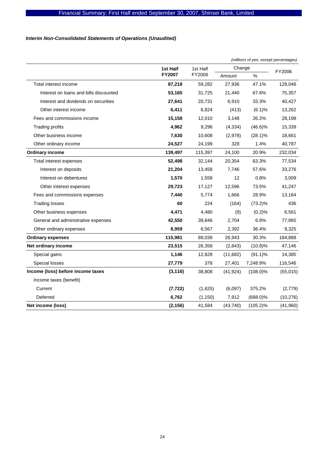## *Interim Non-Consolidated Statements of Operations (Unaudited)*

|                                        |                      |          |           | (millions of yen, except percentages) |           |
|----------------------------------------|----------------------|----------|-----------|---------------------------------------|-----------|
|                                        | 1st Half<br>1st Half |          | Change    | FY2006                                |           |
|                                        | FY2007               | FY2006   | Amount    | $\%$                                  |           |
| Total interest income                  | 87,218               | 59,282   | 27,936    | 47.1%                                 | 129,046   |
| Interest on loans and bills discounted | 53,165               | 31,725   | 21,440    | 67.6%                                 | 75,357    |
| Interest and dividends on securities   | 27,641               | 20,731   | 6,910     | 33.3%                                 | 40,427    |
| Other interest income                  | 6,411                | 6,824    | (413)     | (6.1)%                                | 13,262    |
| Fees and commissions income            | 15,158               | 12,010   | 3,148     | 26.2%                                 | 28,198    |
| <b>Trading profits</b>                 | 4,962                | 9,296    | (4, 334)  | $(46.6)\%$                            | 15,339    |
| Other business income                  | 7,630                | 10,608   | (2,978)   | $(28.1)\%$                            | 18,661    |
| Other ordinary income                  | 24,527               | 24,199   | 328       | 1.4%                                  | 40,787    |
| <b>Ordinary income</b>                 | 139,497              | 115,397  | 24,100    | 20.9%                                 | 232,034   |
| Total interest expenses                | 52,498               | 32,144   | 20,354    | 63.3%                                 | 77,534    |
| Interest on deposits                   | 21,204               | 13,458   | 7,746     | 57.6%                                 | 33,276    |
| Interest on debentures                 | 1,570                | 1,558    | 12        | 0.8%                                  | 3,009     |
| Other interest expenses                | 29,723               | 17,127   | 12,596    | 73.5%                                 | 41,247    |
| Fees and commissions expenses          | 7,440                | 5,774    | 1,666     | 28.9%                                 | 13,164    |
| <b>Trading losses</b>                  | 60                   | 224      | (164)     | $(73.2)\%$                            | 436       |
| Other business expenses                | 4,471                | 4,480    | (9)       | (0.2)%                                | 6,561     |
| General and administrative expenses    | 42,550               | 39,846   | 2,704     | 6.8%                                  | 77,865    |
| Other ordinary expenses                | 8,959                | 6,567    | 2,392     | 36.4%                                 | 9,325     |
| <b>Ordinary expenses</b>               | 115,981              | 89,038   | 26,943    | 30.3%                                 | 184,888   |
| Net ordinary income                    | 23,515               | 26,358   | (2,843)   | $(10.8)\%$                            | 47,146    |
| Special gains                          | 1,146                | 12,828   | (11,682)  | $(91.1)\%$                            | 14,385    |
| Special losses                         | 27,779               | 378      | 27,401    | 7,248.9%                              | 116,546   |
| Income (loss) before income taxes      | (3, 116)             | 38,808   | (41, 924) | $(108.0)\%$                           | (55,015)  |
| Income taxes (benefit)                 |                      |          |           |                                       |           |
| Current                                | (7, 722)             | (1,625)  | (6,097)   | 375.2%                                | (2,779)   |
| Deferred                               | 6,762                | (1, 150) | 7,912     | $(688.0)\%$                           | (10, 276) |
| Net income (loss)                      | (2, 156)             | 41,584   | (43, 740) | $(105.2)\%$                           | (41,960)  |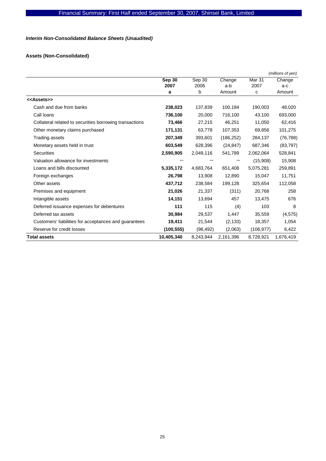## *Interim Non-Consolidated Balance Sheets (Unaudited)*

## **Assets (Non-Consolidated)**

|                                                         |                |                |               |                           | (millions of yen) |
|---------------------------------------------------------|----------------|----------------|---------------|---------------------------|-------------------|
|                                                         | Sep 30<br>2007 | Sep 30<br>2006 | Change<br>a-b | Mar <sub>31</sub><br>2007 | Change<br>a-c     |
|                                                         | a              | b              | Amount        | с                         | Amount            |
| < <assets>&gt;</assets>                                 |                |                |               |                           |                   |
| Cash and due from banks                                 | 238,023        | 137,839        | 100,184       | 190,003                   | 48,020            |
| Call loans                                              | 736,100        | 20,000         | 716,100       | 43,100                    | 693,000           |
| Collateral related to securities borrowing transactions | 73,466         | 27,215         | 46,251        | 11,050                    | 62,416            |
| Other monetary claims purchased                         | 171,131        | 63,778         | 107,353       | 69,856                    | 101,275           |
| Trading assets                                          | 207,349        | 393,601        | (186, 252)    | 284,137                   | (76, 788)         |
| Monetary assets held in trust                           | 603,549        | 628,396        | (24, 847)     | 687,346                   | (83, 797)         |
| <b>Securities</b>                                       | 2,590,905      | 2,049,116      | 541,789       | 2,062,064                 | 528,841           |
| Valuation allowance for investments                     |                |                |               | (15,908)                  | 15,908            |
| Loans and bills discounted                              | 5,335,172      | 4,683,764      | 651,408       | 5,075,281                 | 259,891           |
| Foreign exchanges                                       | 26,798         | 13,908         | 12,890        | 15,047                    | 11,751            |
| Other assets                                            | 437,712        | 238,584        | 199,128       | 325,654                   | 112,058           |
| Premises and equipment                                  | 21,026         | 21,337         | (311)         | 20,768                    | 258               |
| Intangible assets                                       | 14,151         | 13,694         | 457           | 13,475                    | 676               |
| Deferred issuance expenses for debentures               | 111            | 115            | (4)           | 103                       | 8                 |
| Deferred tax assets                                     | 30,984         | 29,537         | 1,447         | 35,559                    | (4, 575)          |
| Customers' liabilities for acceptances and guarantees   | 19,411         | 21,544         | (2, 133)      | 18,357                    | 1,054             |
| Reserve for credit losses                               | (100, 555)     | (98, 492)      | (2,063)       | (106, 977)                | 6,422             |
| <b>Total assets</b>                                     | 10,405,340     | 8,243,944      | 2,161,396     | 8,728,921                 | 1,676,419         |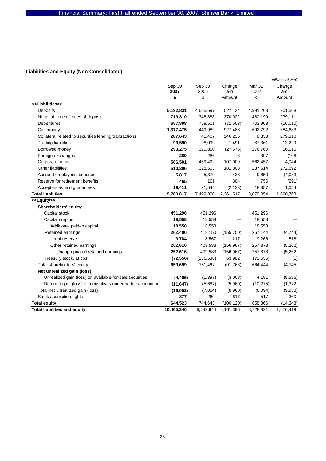## **Liabilities and Equity (Non-Consolidated)**

|                                                            |            |            |            |           | (millions of yen) |
|------------------------------------------------------------|------------|------------|------------|-----------|-------------------|
|                                                            | Sep 30     | Sep 30     | Change     | Mar 31    | Change            |
|                                                            | 2007       | 2006       | a-b        | 2007      | a-c               |
|                                                            | a          | b          | Amount     | C         | Amount            |
| < <liabilities>&gt;</liabilities>                          |            |            |            |           |                   |
| Deposits                                                   | 5,192,831  | 4,665,697  | 527,134    | 4,991,263 | 201,568           |
| Negotiable certificates of deposit                         | 719,310    | 348,388    | 370,922    | 480,199   | 239,111           |
| <b>Debentures</b>                                          | 687,898    | 759,501    | (71, 603)  | 703,908   | (16,010)          |
| Call money                                                 | 1,377,475  | 449,989    | 927,486    | 692,792   | 684,683           |
| Collateral related to securities lending transactions      | 287,643    | 41,407     | 246,236    | 8,333     | 279,310           |
| <b>Trading liabilities</b>                                 | 99,590     | 98,099     | 1,491      | 87,361    | 12,229            |
| Borrowed money                                             | 293,275    | 320,850    | (27, 575)  | 276,760   | 16,515            |
| Foreign exchanges                                          | 289        | 286        | 3          | 397       | (108)             |
| Corporate bonds                                            | 566,501    | 459,492    | 107,009    | 562,457   | 4,044             |
| Other liabilities                                          | 510,306    | 328,503    | 181,803    | 237,614   | 272,692           |
| Accrued employees' bonuses                                 | 5,817      | 5,379      | 438        | 9,850     | (4,033)           |
| Reserve for retirement benefits                            | 465        | 161        | 304        | 756       | (291)             |
| Acceptances and guarantees                                 | 19,411     | 21,544     | (2, 133)   | 18,357    | 1,054             |
| <b>Total liabilities</b>                                   | 9,760,817  | 7,499,300  | 2,261,517  | 8,070,054 | 1,690,763         |
| < <equity>&gt;</equity>                                    |            |            |            |           |                   |
| Shareholders' equity:                                      |            |            |            |           |                   |
| Capital stock                                              | 451,296    | 451,296    |            | 451,296   |                   |
| Capital surplus                                            | 18,558     | 18,558     |            | 18,558    |                   |
| Additional paid-in capital                                 | 18,558     | 18,558     |            | 18,558    |                   |
| Retained earnings                                          | 262,400    | 418,150    | (155, 750) | 267,144   | (4,744)           |
| Legal reserve                                              | 9,784      | 8,567      | 1,217      | 9,266     | 518               |
| Other retained earnings                                    | 252,616    | 409,583    | (156, 967) | 257,878   | (5,262)           |
| Unappropriated retained earnings                           | 252,616    | 409,583    | (156, 967) | 257,878   | (5,262)           |
| Treasury stock, at cost                                    | (72, 556)  | (136, 538) | 63,982     | (72, 555) | (1)               |
| Total shareholders' equity                                 | 659,699    | 751,467    | (91,768)   | 664,444   | (4,745)           |
| Net unrealized gain (loss):                                |            |            |            |           |                   |
| Unrealized gain (loss) on available-for-sale securities    | (4, 405)   | (1, 397)   | (3,008)    | 4,181     | (8,586)           |
| Deferred gain (loss) on derivatives under hedge accounting | (11, 647)  | (5,687)    | (5,960)    | (10, 275) | (1, 372)          |
| Total net unrealized gain (loss)                           | (16, 052)  | (7,084)    | (8,968)    | (6,094)   | (9,958)           |
| Stock acquisition rights                                   | 877        | 260        | 617        | 517       | 360               |
| <b>Total equity</b>                                        | 644,523    | 744,643    | (100, 120) | 658,866   | (14, 343)         |
| <b>Total liabilities and equity</b>                        | 10,405,340 | 8,243,944  | 2,161,396  | 8,728,921 | 1,676,419         |